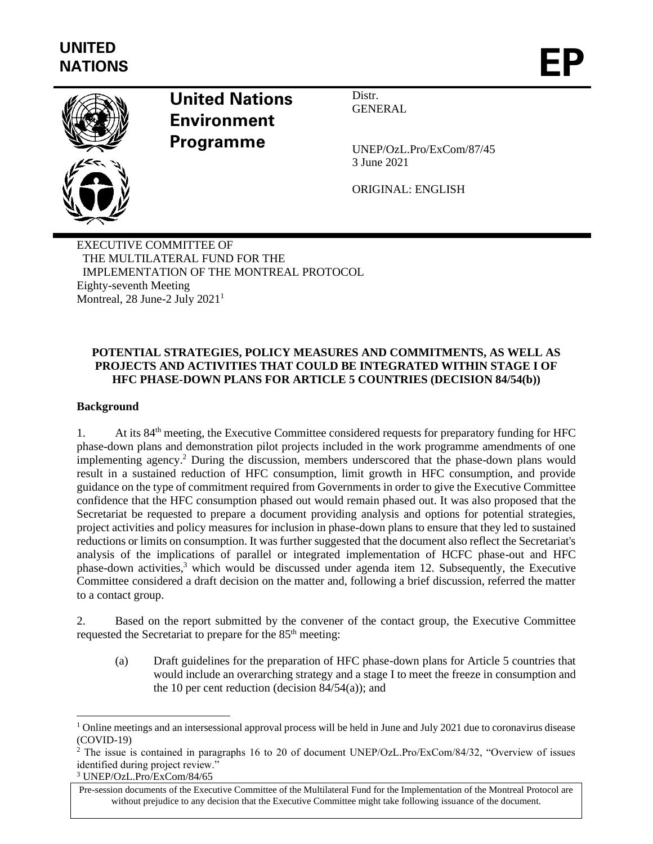

# **United Nations Environment Programme**

Distr. **GENERAL** 

UNEP/OzL.Pro/ExCom/87/45 3 June 2021

ORIGINAL: ENGLISH

EXECUTIVE COMMITTEE OF THE MULTILATERAL FUND FOR THE IMPLEMENTATION OF THE MONTREAL PROTOCOL Eighty-seventh Meeting Montreal, 28 June-2 July  $2021<sup>1</sup>$ 

# **POTENTIAL STRATEGIES, POLICY MEASURES AND COMMITMENTS, AS WELL AS PROJECTS AND ACTIVITIES THAT COULD BE INTEGRATED WITHIN STAGE I OF HFC PHASE-DOWN PLANS FOR ARTICLE 5 COUNTRIES (DECISION 84/54(b))**

# **Background**

1. At its 84<sup>th</sup> meeting, the Executive Committee considered requests for preparatory funding for HFC phase-down plans and demonstration pilot projects included in the work programme amendments of one implementing agency. <sup>2</sup> During the discussion, members underscored that the phase-down plans would result in a sustained reduction of HFC consumption, limit growth in HFC consumption, and provide guidance on the type of commitment required from Governments in order to give the Executive Committee confidence that the HFC consumption phased out would remain phased out. It was also proposed that the Secretariat be requested to prepare a document providing analysis and options for potential strategies, project activities and policy measures for inclusion in phase-down plans to ensure that they led to sustained reductions or limits on consumption. It was further suggested that the document also reflect the Secretariat's analysis of the implications of parallel or integrated implementation of HCFC phase-out and HFC phase-down activities,<sup>3</sup> which would be discussed under agenda item 12. Subsequently, the Executive Committee considered a draft decision on the matter and, following a brief discussion, referred the matter to a contact group.

2. Based on the report submitted by the convener of the contact group, the Executive Committee requested the Secretariat to prepare for the 85<sup>th</sup> meeting:

(a) Draft guidelines for the preparation of HFC phase-down plans for Article 5 countries that would include an overarching strategy and a stage I to meet the freeze in consumption and the 10 per cent reduction (decision  $84/54(a)$ ); and

 $1$  Online meetings and an intersessional approval process will be held in June and July 2021 due to coronavirus disease (COVID-19)

<sup>2</sup> The issue is contained in paragraphs 16 to 20 of document UNEP/OzL.Pro/ExCom/84/32, "Overview of issues identified during project review."

<sup>3</sup> UNEP/OzL.Pro/ExCom/84/65

Pre-session documents of the Executive Committee of the Multilateral Fund for the Implementation of the Montreal Protocol are without prejudice to any decision that the Executive Committee might take following issuance of the document.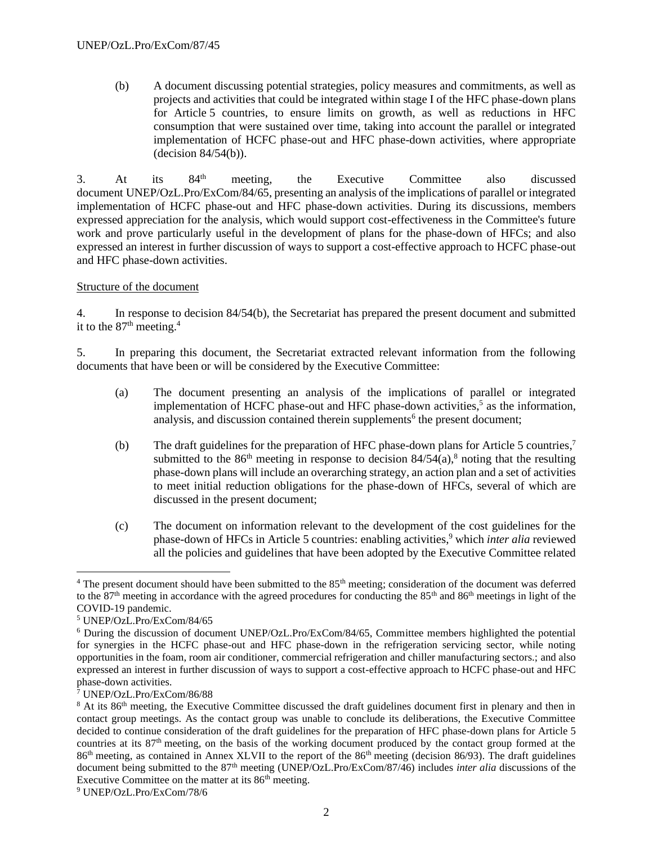(b) A document discussing potential strategies, policy measures and commitments, as well as projects and activities that could be integrated within stage I of the HFC phase-down plans for Article 5 countries, to ensure limits on growth, as well as reductions in HFC consumption that were sustained over time, taking into account the parallel or integrated implementation of HCFC phase-out and HFC phase-down activities, where appropriate (decision 84/54(b)).

3. At its  $84<sup>th</sup>$  meeting, the Executive Committee also discussed document UNEP/OzL.Pro/ExCom/84/65, presenting an analysis of the implications of parallel or integrated implementation of HCFC phase-out and HFC phase-down activities. During its discussions, members expressed appreciation for the analysis, which would support cost-effectiveness in the Committee's future work and prove particularly useful in the development of plans for the phase-down of HFCs; and also expressed an interest in further discussion of ways to support a cost-effective approach to HCFC phase-out and HFC phase-down activities.

# Structure of the document

4. In response to decision 84/54(b), the Secretariat has prepared the present document and submitted it to the  $87<sup>th</sup>$  meeting.<sup>4</sup>

5. In preparing this document, the Secretariat extracted relevant information from the following documents that have been or will be considered by the Executive Committee:

- (a) The document presenting an analysis of the implications of parallel or integrated implementation of HCFC phase-out and HFC phase-down activities, 5 as the information, analysis, and discussion contained therein supplements<sup>6</sup> the present document;
- (b) The draft guidelines for the preparation of HFC phase-down plans for Article 5 countries, 7 submitted to the 86<sup>th</sup> meeting in response to decision  $84/54(a)$ ,<sup>8</sup> noting that the resulting phase-down plans will include an overarching strategy, an action plan and a set of activities to meet initial reduction obligations for the phase-down of HFCs, several of which are discussed in the present document;
- (c) The document on information relevant to the development of the cost guidelines for the phase-down of HFCs in Article 5 countries: enabling activities, <sup>9</sup> which *inter alia* reviewed all the policies and guidelines that have been adopted by the Executive Committee related

 $4$  The present document should have been submitted to the  $85<sup>th</sup>$  meeting; consideration of the document was deferred to the  $87<sup>th</sup>$  meeting in accordance with the agreed procedures for conducting the  $85<sup>th</sup>$  and  $86<sup>th</sup>$  meetings in light of the COVID-19 pandemic.

<sup>5</sup> UNEP/OzL.Pro/ExCom/84/65

<sup>6</sup> During the discussion of document UNEP/OzL.Pro/ExCom/84/65, Committee members highlighted the potential for synergies in the HCFC phase-out and HFC phase-down in the refrigeration servicing sector, while noting opportunities in the foam, room air conditioner, commercial refrigeration and chiller manufacturing sectors.; and also expressed an interest in further discussion of ways to support a cost-effective approach to HCFC phase-out and HFC phase-down activities.

<sup>7</sup> UNEP/OzL.Pro/ExCom/86/88

 $8$  At its  $86<sup>th</sup>$  meeting, the Executive Committee discussed the draft guidelines document first in plenary and then in contact group meetings. As the contact group was unable to conclude its deliberations, the Executive Committee decided to continue consideration of the draft guidelines for the preparation of HFC phase-down plans for Article 5 countries at its 87<sup>th</sup> meeting, on the basis of the working document produced by the contact group formed at the 86<sup>th</sup> meeting, as contained in Annex XLVII to the report of the 86<sup>th</sup> meeting (decision 86/93). The draft guidelines document being submitted to the 87<sup>th</sup> meeting (UNEP/OzL.Pro/ExCom/87/46) includes *inter alia* discussions of the Executive Committee on the matter at its  $86<sup>th</sup>$  meeting.

<sup>9</sup> UNEP/OzL.Pro/ExCom/78/6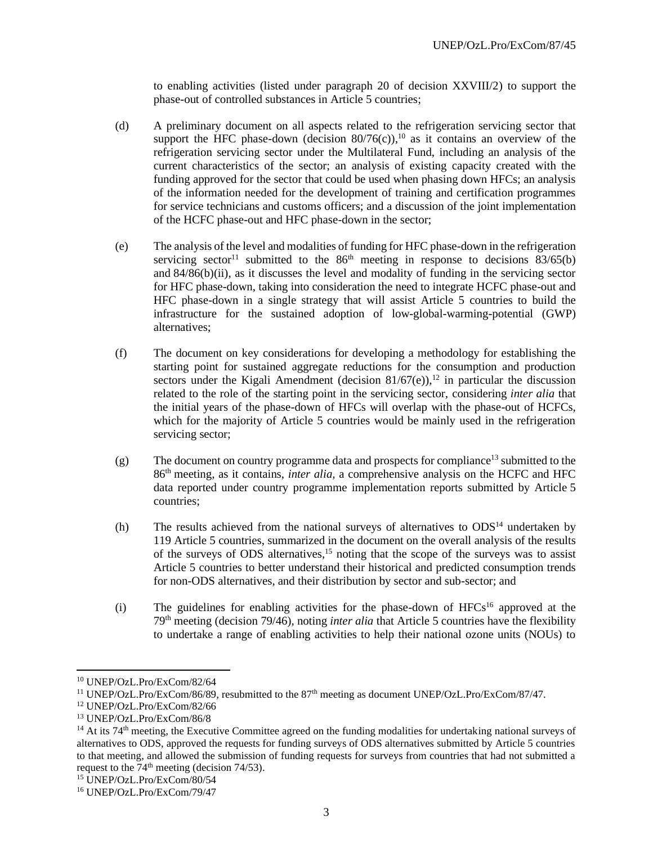to enabling activities (listed under paragraph 20 of decision XXVIII/2) to support the phase-out of controlled substances in Article 5 countries;

- (d) A preliminary document on all aspects related to the refrigeration servicing sector that support the HFC phase-down (decision  $80/76(c)$ ),<sup>10</sup> as it contains an overview of the refrigeration servicing sector under the Multilateral Fund, including an analysis of the current characteristics of the sector; an analysis of existing capacity created with the funding approved for the sector that could be used when phasing down HFCs; an analysis of the information needed for the development of training and certification programmes for service technicians and customs officers; and a discussion of the joint implementation of the HCFC phase-out and HFC phase-down in the sector;
- (e) The analysis of the level and modalities of funding for HFC phase-down in the refrigeration servicing sector<sup>11</sup> submitted to the  $86<sup>th</sup>$  meeting in response to decisions  $83/65(b)$ and 84/86(b)(ii), as it discusses the level and modality of funding in the servicing sector for HFC phase-down, taking into consideration the need to integrate HCFC phase-out and HFC phase-down in a single strategy that will assist Article 5 countries to build the infrastructure for the sustained adoption of low-global-warming-potential (GWP) alternatives;
- (f) The document on key considerations for developing a methodology for establishing the starting point for sustained aggregate reductions for the consumption and production sectors under the Kigali Amendment (decision  $81/67$ (e)),<sup>12</sup> in particular the discussion related to the role of the starting point in the servicing sector, considering *inter alia* that the initial years of the phase-down of HFCs will overlap with the phase-out of HCFCs, which for the majority of Article 5 countries would be mainly used in the refrigeration servicing sector;
- $(g)$  The document on country programme data and prospects for compliance<sup>13</sup> submitted to the 86th meeting, as it contains, *inter alia,* a comprehensive analysis on the HCFC and HFC data reported under country programme implementation reports submitted by Article 5 countries;
- (h) The results achieved from the national surveys of alternatives to  $ODS<sup>14</sup>$  undertaken by 119 Article 5 countries, summarized in the document on the overall analysis of the results of the surveys of ODS alternatives,<sup>15</sup> noting that the scope of the surveys was to assist Article 5 countries to better understand their historical and predicted consumption trends for non-ODS alternatives, and their distribution by sector and sub-sector; and
- $(i)$  The guidelines for enabling activities for the phase-down of HFCs<sup>16</sup> approved at the 79th meeting (decision 79/46), noting *inter alia* that Article 5 countries have the flexibility to undertake a range of enabling activities to help their national ozone units (NOUs) to

<sup>10</sup> UNEP/OzL.Pro/ExCom/82/64

<sup>&</sup>lt;sup>11</sup> UNEP/OzL.Pro/ExCom/86/89, resubmitted to the 87<sup>th</sup> meeting as document UNEP/OzL.Pro/ExCom/87/47.

<sup>12</sup> UNEP/OzL.Pro/ExCom/82/66

<sup>13</sup> UNEP/OzL.Pro/ExCom/86/8

 $14$  At its 74<sup>th</sup> meeting, the Executive Committee agreed on the funding modalities for undertaking national surveys of alternatives to ODS, approved the requests for funding surveys of ODS alternatives submitted by Article 5 countries to that meeting, and allowed the submission of funding requests for surveys from countries that had not submitted a request to the  $74<sup>th</sup>$  meeting (decision 74/53).

<sup>15</sup> UNEP/OzL.Pro/ExCom/80/54

<sup>16</sup> UNEP/OzL.Pro/ExCom/79/47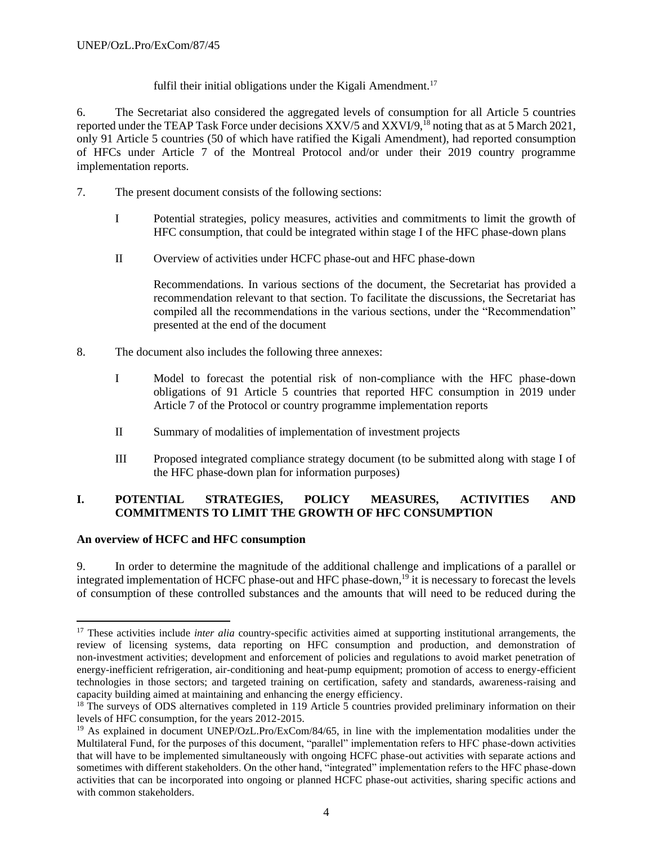fulfil their initial obligations under the Kigali Amendment.<sup>17</sup>

6. The Secretariat also considered the aggregated levels of consumption for all Article 5 countries reported under the TEAP Task Force under decisions XXV/5 and XXVI/9,<sup>18</sup> noting that as at 5 March 2021, only 91 Article 5 countries (50 of which have ratified the Kigali Amendment), had reported consumption of HFCs under Article 7 of the Montreal Protocol and/or under their 2019 country programme implementation reports.

- 7. The present document consists of the following sections:
	- I Potential strategies, policy measures, activities and commitments to limit the growth of HFC consumption, that could be integrated within stage I of the HFC phase-down plans
	- II Overview of activities under HCFC phase-out and HFC phase-down

Recommendations. In various sections of the document, the Secretariat has provided a recommendation relevant to that section. To facilitate the discussions, the Secretariat has compiled all the recommendations in the various sections, under the "Recommendation" presented at the end of the document

- 8. The document also includes the following three annexes:
	- I Model to forecast the potential risk of non-compliance with the HFC phase-down obligations of 91 Article 5 countries that reported HFC consumption in 2019 under Article 7 of the Protocol or country programme implementation reports
	- II Summary of modalities of implementation of investment projects
	- III Proposed integrated compliance strategy document (to be submitted along with stage I of the HFC phase-down plan for information purposes)

# **I. POTENTIAL STRATEGIES, POLICY MEASURES, ACTIVITIES AND COMMITMENTS TO LIMIT THE GROWTH OF HFC CONSUMPTION**

## **An overview of HCFC and HFC consumption**

9. In order to determine the magnitude of the additional challenge and implications of a parallel or integrated implementation of HCFC phase-out and HFC phase-down,<sup>19</sup> it is necessary to forecast the levels of consumption of these controlled substances and the amounts that will need to be reduced during the

<sup>&</sup>lt;sup>17</sup> These activities include *inter alia* country-specific activities aimed at supporting institutional arrangements, the review of licensing systems, data reporting on HFC consumption and production, and demonstration of non-investment activities; development and enforcement of policies and regulations to avoid market penetration of energy-inefficient refrigeration, air-conditioning and heat-pump equipment; promotion of access to energy-efficient technologies in those sectors; and targeted training on certification, safety and standards, awareness-raising and capacity building aimed at maintaining and enhancing the energy efficiency.

<sup>&</sup>lt;sup>18</sup> The surveys of ODS alternatives completed in 119 Article 5 countries provided preliminary information on their levels of HFC consumption, for the years 2012-2015.

<sup>&</sup>lt;sup>19</sup> As explained in document UNEP/OzL.Pro/ExCom/84/65, in line with the implementation modalities under the Multilateral Fund, for the purposes of this document, "parallel" implementation refers to HFC phase-down activities that will have to be implemented simultaneously with ongoing HCFC phase-out activities with separate actions and sometimes with different stakeholders. On the other hand, "integrated" implementation refers to the HFC phase-down activities that can be incorporated into ongoing or planned HCFC phase-out activities, sharing specific actions and with common stakeholders.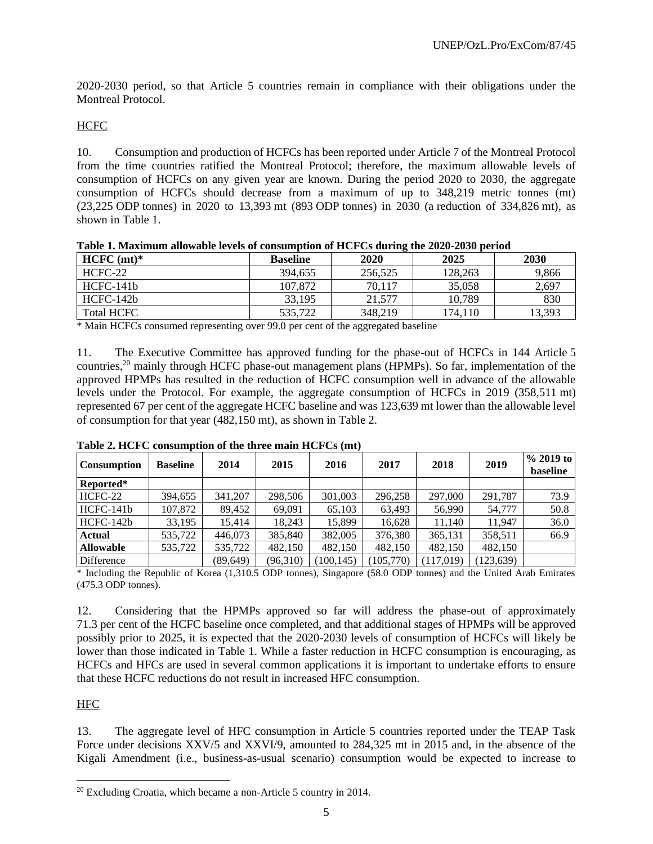2020-2030 period, so that Article 5 countries remain in compliance with their obligations under the Montreal Protocol.

# **HCFC**

10. Consumption and production of HCFCs has been reported under Article 7 of the Montreal Protocol from the time countries ratified the Montreal Protocol; therefore, the maximum allowable levels of consumption of HCFCs on any given year are known. During the period 2020 to 2030, the aggregate consumption of HCFCs should decrease from a maximum of up to 348,219 metric tonnes (mt) (23,225 ODP tonnes) in 2020 to 13,393 mt (893 ODP tonnes) in 2030 (a reduction of 334,826 mt), as shown in Table 1.

| Tuoit II Ruhinnun unonuole Iereo ol compunistion ol 1101 Co uuring uit 2020 2000 period |                 |         |         |        |  |  |  |  |  |  |  |
|-----------------------------------------------------------------------------------------|-----------------|---------|---------|--------|--|--|--|--|--|--|--|
| $HCFC (mt)*$                                                                            | <b>Baseline</b> | 2020    | 2025    | 2030   |  |  |  |  |  |  |  |
| $HCFC-22$                                                                               | 394,655         | 256,525 | 128,263 | 9,866  |  |  |  |  |  |  |  |
| HCFC-141b                                                                               | 107.872         | 70.117  | 35,058  | 2,697  |  |  |  |  |  |  |  |
| HCFC-142b                                                                               | 33.195          | 21,577  | 10.789  | 830    |  |  |  |  |  |  |  |
| Total HCFC                                                                              | 535,722         | 348,219 | 174.110 | 13.393 |  |  |  |  |  |  |  |

|  |  | Table 1. Maximum allowable levels of consumption of HCFCs during the 2020-2030 period |
|--|--|---------------------------------------------------------------------------------------|
|  |  |                                                                                       |

\* Main HCFCs consumed representing over 99.0 per cent of the aggregated baseline

11. The Executive Committee has approved funding for the phase-out of HCFCs in 144 Article 5 countries,<sup>20</sup> mainly through HCFC phase-out management plans (HPMPs). So far, implementation of the approved HPMPs has resulted in the reduction of HCFC consumption well in advance of the allowable levels under the Protocol. For example, the aggregate consumption of HCFCs in 2019 (358,511 mt) represented 67 per cent of the aggregate HCFC baseline and was 123,639 mt lower than the allowable level of consumption for that year (482,150 mt), as shown in Table 2.

| <b>Consumption</b> | <b>Baseline</b> | 2014      | 2015     | 2016       | 2017      | 2018      | 2019     | $\%$ 2019 to<br>baseline |
|--------------------|-----------------|-----------|----------|------------|-----------|-----------|----------|--------------------------|
| Reported*          |                 |           |          |            |           |           |          |                          |
| HCFC-22            | 394,655         | 341,207   | 298,506  | 301,003    | 296,258   | 297,000   | 291.787  | 73.9                     |
| HCFC-141b          | 107,872         | 89,452    | 69,091   | 65,103     | 63,493    | 56,990    | 54,777   | 50.8                     |
| $HCFC-142b$        | 33,195          | 15,414    | 18,243   | 15,899     | 16,628    | 11,140    | 11.947   | 36.0                     |
| <b>Actual</b>      | 535,722         | 446,073   | 385,840  | 382,005    | 376,380   | 365,131   | 358,511  | 66.9                     |
| <b>Allowable</b>   | 535,722         | 535,722   | 482,150  | 482,150    | 482,150   | 482,150   | 482,150  |                          |
| Difference         |                 | (89, 649) | (96,310) | (100, 145) | (105,770) | (117.019) | 123,639) |                          |

**Table 2. HCFC consumption of the three main HCFCs (mt)**

\* Including the Republic of Korea (1,310.5 ODP tonnes), Singapore (58.0 ODP tonnes) and the United Arab Emirates (475.3 ODP tonnes).

12. Considering that the HPMPs approved so far will address the phase-out of approximately 71.3 per cent of the HCFC baseline once completed, and that additional stages of HPMPs will be approved possibly prior to 2025, it is expected that the 2020-2030 levels of consumption of HCFCs will likely be lower than those indicated in Table 1. While a faster reduction in HCFC consumption is encouraging, as HCFCs and HFCs are used in several common applications it is important to undertake efforts to ensure that these HCFC reductions do not result in increased HFC consumption.

HFC

13. The aggregate level of HFC consumption in Article 5 countries reported under the TEAP Task Force under decisions XXV/5 and XXVI/9, amounted to 284,325 mt in 2015 and, in the absence of the Kigali Amendment (i.e., business-as-usual scenario) consumption would be expected to increase to

<sup>20</sup> Excluding Croatia, which became a non-Article 5 country in 2014.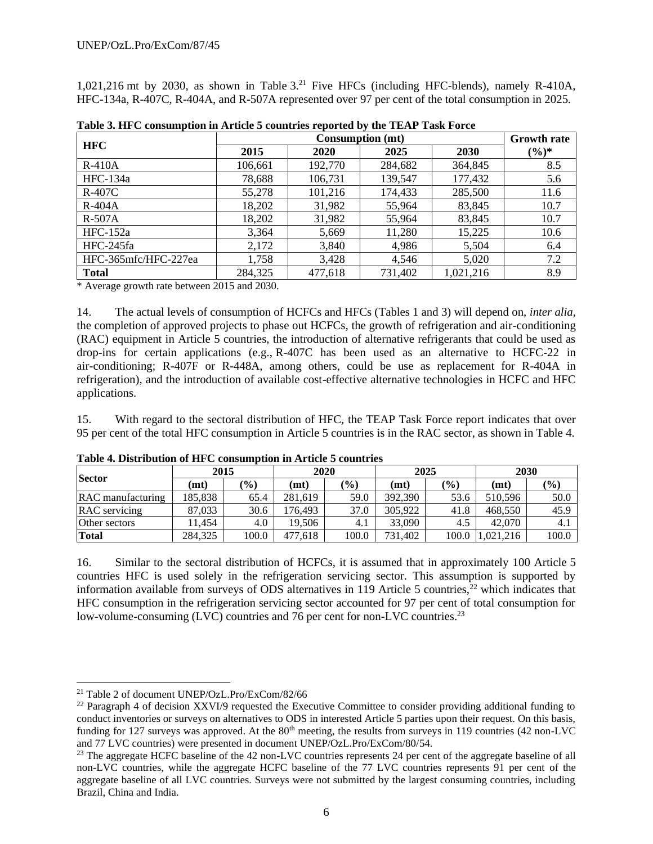1,021,216 mt by 2030, as shown in Table  $3<sup>21</sup>$  Five HFCs (including HFC-blends), namely R-410A, HFC-134a, R-407C, R-404A, and R-507A represented over 97 per cent of the total consumption in 2025.

| <b>HFC</b>           |         |         | <b>Consumption (mt)</b> |           | <b>Growth rate</b> |
|----------------------|---------|---------|-------------------------|-----------|--------------------|
|                      | 2015    | 2020    | 2025                    | 2030      | $(\%)^*$           |
| $R-410A$             | 106,661 | 192,770 | 284,682                 | 364,845   | 8.5                |
| HFC-134a             | 78,688  | 106,731 | 139,547                 | 177,432   | 5.6                |
| $R-407C$             | 55,278  | 101,216 | 174,433                 | 285,500   | 11.6               |
| $R-404A$             | 18,202  | 31,982  | 55,964                  | 83,845    | 10.7               |
| $R-507A$             | 18,202  | 31,982  | 55,964                  | 83,845    | 10.7               |
| $HFC-152a$           | 3,364   | 5,669   | 11,280                  | 15,225    | 10.6               |
| HFC-245fa            | 2,172   | 3,840   | 4,986                   | 5,504     | 6.4                |
| HFC-365mfc/HFC-227ea | 1,758   | 3,428   | 4,546                   | 5,020     | 7.2                |
| <b>Total</b>         | 284,325 | 477,618 | 731,402                 | 1,021,216 | 8.9                |

**Table 3. HFC consumption in Article 5 countries reported by the TEAP Task Force**

\* Average growth rate between 2015 and 2030.

14. The actual levels of consumption of HCFCs and HFCs (Tables 1 and 3) will depend on, *inter alia,*  the completion of approved projects to phase out HCFCs, the growth of refrigeration and air-conditioning (RAC) equipment in Article 5 countries, the introduction of alternative refrigerants that could be used as drop-ins for certain applications (e.g.,  $R-407C$  has been used as an alternative to HCFC-22 in air-conditioning; R-407F or R-448A, among others, could be use as replacement for R-404A in refrigeration), and the introduction of available cost-effective alternative technologies in HCFC and HFC applications.

15. With regard to the sectoral distribution of HFC, the TEAP Task Force report indicates that over 95 per cent of the total HFC consumption in Article 5 countries is in the RAC sector, as shown in Table 4.

| <b>Sector</b>     | 2015    |        | 2020              |               |         | 2025<br>2030 |           |       |
|-------------------|---------|--------|-------------------|---------------|---------|--------------|-----------|-------|
|                   | (mt)    | $(\%)$ | (m <sub>t</sub> ) | $\frac{9}{0}$ | (mt)    | $(\%)$       | (mt)      | (%)   |
| RAC manufacturing | 185.838 | 65.4   | 281.619           | 59.0          | 392.390 | 53.6         | 510.596   | 50.0  |
| RAC servicing     | 87,033  | 30.6   | 176.493           | 37.0          | 305.922 | 41.8         | 468,550   | 45.9  |
| Other sectors     | 11.454  | 4.0    | 19.506            | 4.1           | 33,090  | 4.5          | 42,070    | 4.1   |
| Total             | 284,325 | 100.0  | 477.618           | 100.0         | 731,402 | 100.0        | 1,021,216 | 100.0 |

**Table 4. Distribution of HFC consumption in Article 5 countries** 

16. Similar to the sectoral distribution of HCFCs, it is assumed that in approximately 100 Article 5 countries HFC is used solely in the refrigeration servicing sector. This assumption is supported by information available from surveys of ODS alternatives in 119 Article 5 countries, $22$  which indicates that HFC consumption in the refrigeration servicing sector accounted for 97 per cent of total consumption for low-volume-consuming (LVC) countries and 76 per cent for non-LVC countries.<sup>23</sup>

<sup>21</sup> Table 2 of document UNEP/OzL.Pro/ExCom/82/66

<sup>&</sup>lt;sup>22</sup> Paragraph 4 of decision XXVI/9 requested the Executive Committee to consider providing additional funding to conduct inventories or surveys on alternatives to ODS in interested Article 5 parties upon their request. On this basis, funding for 127 surveys was approved. At the 80<sup>th</sup> meeting, the results from surveys in 119 countries (42 non-LVC and 77 LVC countries) were presented in document UNEP/OzL.Pro/ExCom/80/54.

<sup>&</sup>lt;sup>23</sup> The aggregate HCFC baseline of the 42 non-LVC countries represents 24 per cent of the aggregate baseline of all non-LVC countries, while the aggregate HCFC baseline of the 77 LVC countries represents 91 per cent of the aggregate baseline of all LVC countries. Surveys were not submitted by the largest consuming countries, including Brazil, China and India.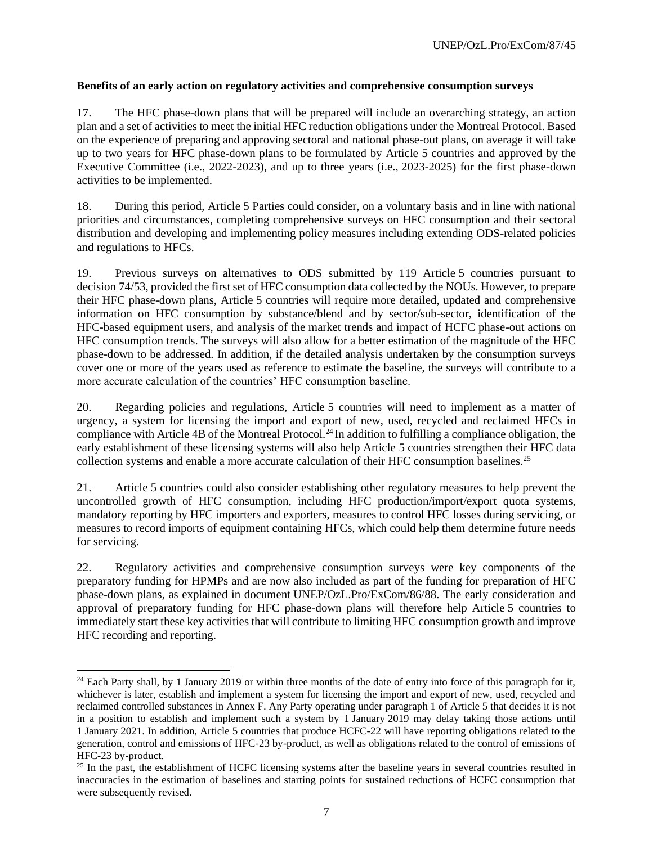# **Benefits of an early action on regulatory activities and comprehensive consumption surveys**

17. The HFC phase-down plans that will be prepared will include an overarching strategy, an action plan and a set of activities to meet the initial HFC reduction obligations under the Montreal Protocol. Based on the experience of preparing and approving sectoral and national phase-out plans, on average it will take up to two years for HFC phase-down plans to be formulated by Article 5 countries and approved by the Executive Committee (i.e., 2022-2023), and up to three years (i.e., 2023-2025) for the first phase-down activities to be implemented.

18. During this period, Article 5 Parties could consider, on a voluntary basis and in line with national priorities and circumstances, completing comprehensive surveys on HFC consumption and their sectoral distribution and developing and implementing policy measures including extending ODS-related policies and regulations to HFCs.

19. Previous surveys on alternatives to ODS submitted by 119 Article 5 countries pursuant to decision 74/53, provided the first set of HFC consumption data collected by the NOUs. However, to prepare their HFC phase-down plans, Article 5 countries will require more detailed, updated and comprehensive information on HFC consumption by substance/blend and by sector/sub-sector, identification of the HFC-based equipment users, and analysis of the market trends and impact of HCFC phase-out actions on HFC consumption trends. The surveys will also allow for a better estimation of the magnitude of the HFC phase-down to be addressed. In addition, if the detailed analysis undertaken by the consumption surveys cover one or more of the years used as reference to estimate the baseline, the surveys will contribute to a more accurate calculation of the countries' HFC consumption baseline.

20. Regarding policies and regulations, Article 5 countries will need to implement as a matter of urgency, a system for licensing the import and export of new, used, recycled and reclaimed HFCs in compliance with Article 4B of the Montreal Protocol.<sup>24</sup> In addition to fulfilling a compliance obligation, the early establishment of these licensing systems will also help Article 5 countries strengthen their HFC data collection systems and enable a more accurate calculation of their HFC consumption baselines.<sup>25</sup>

21. Article 5 countries could also consider establishing other regulatory measures to help prevent the uncontrolled growth of HFC consumption, including HFC production/import/export quota systems, mandatory reporting by HFC importers and exporters, measures to control HFC losses during servicing, or measures to record imports of equipment containing HFCs, which could help them determine future needs for servicing.

22. Regulatory activities and comprehensive consumption surveys were key components of the preparatory funding for HPMPs and are now also included as part of the funding for preparation of HFC phase-down plans, as explained in document UNEP/OzL.Pro/ExCom/86/88. The early consideration and approval of preparatory funding for HFC phase-down plans will therefore help Article 5 countries to immediately start these key activities that will contribute to limiting HFC consumption growth and improve HFC recording and reporting.

<sup>&</sup>lt;sup>24</sup> Each Party shall, by 1 January 2019 or within three months of the date of entry into force of this paragraph for it, whichever is later, establish and implement a system for licensing the import and export of new, used, recycled and reclaimed controlled substances in Annex F. Any Party operating under paragraph 1 of Article 5 that decides it is not in a position to establish and implement such a system by 1 January 2019 may delay taking those actions until 1 January 2021. In addition, Article 5 countries that produce HCFC-22 will have reporting obligations related to the generation, control and emissions of HFC-23 by-product, as well as obligations related to the control of emissions of HFC-23 by-product.

<sup>&</sup>lt;sup>25</sup> In the past, the establishment of HCFC licensing systems after the baseline years in several countries resulted in inaccuracies in the estimation of baselines and starting points for sustained reductions of HCFC consumption that were subsequently revised.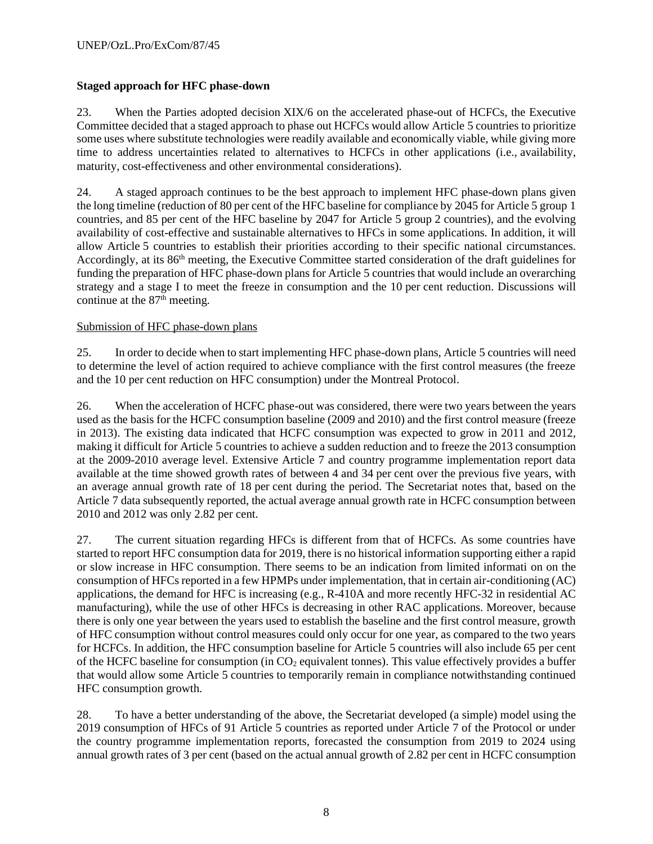# **Staged approach for HFC phase-down**

23. When the Parties adopted decision XIX/6 on the accelerated phase-out of HCFCs, the Executive Committee decided that a staged approach to phase out HCFCs would allow Article 5 countries to prioritize some uses where substitute technologies were readily available and economically viable, while giving more time to address uncertainties related to alternatives to HCFCs in other applications (i.e., availability, maturity, cost-effectiveness and other environmental considerations).

24. A staged approach continues to be the best approach to implement HFC phase-down plans given the long timeline (reduction of 80 per cent of the HFC baseline for compliance by 2045 for Article 5 group 1 countries, and 85 per cent of the HFC baseline by 2047 for Article 5 group 2 countries), and the evolving availability of cost-effective and sustainable alternatives to HFCs in some applications. In addition, it will allow Article 5 countries to establish their priorities according to their specific national circumstances. Accordingly, at its 86<sup>th</sup> meeting, the Executive Committee started consideration of the draft guidelines for funding the preparation of HFC phase-down plans for Article 5 countries that would include an overarching strategy and a stage I to meet the freeze in consumption and the 10 per cent reduction. Discussions will continue at the 87<sup>th</sup> meeting.

## Submission of HFC phase-down plans

25. In order to decide when to start implementing HFC phase-down plans, Article 5 countries will need to determine the level of action required to achieve compliance with the first control measures (the freeze and the 10 per cent reduction on HFC consumption) under the Montreal Protocol.

26. When the acceleration of HCFC phase-out was considered, there were two years between the years used as the basis for the HCFC consumption baseline (2009 and 2010) and the first control measure (freeze in 2013). The existing data indicated that HCFC consumption was expected to grow in 2011 and 2012, making it difficult for Article 5 countries to achieve a sudden reduction and to freeze the 2013 consumption at the 2009-2010 average level. Extensive Article 7 and country programme implementation report data available at the time showed growth rates of between 4 and 34 per cent over the previous five years, with an average annual growth rate of 18 per cent during the period. The Secretariat notes that, based on the Article 7 data subsequently reported, the actual average annual growth rate in HCFC consumption between 2010 and 2012 was only 2.82 per cent.

27. The current situation regarding HFCs is different from that of HCFCs. As some countries have started to report HFC consumption data for 2019, there is no historical information supporting either a rapid or slow increase in HFC consumption. There seems to be an indication from limited informati on on the consumption of HFCs reported in a few HPMPs under implementation, that in certain air-conditioning (AC) applications, the demand for HFC is increasing (e.g., R-410A and more recently HFC-32 in residential AC manufacturing), while the use of other HFCs is decreasing in other RAC applications. Moreover, because there is only one year between the years used to establish the baseline and the first control measure, growth of HFC consumption without control measures could only occur for one year, as compared to the two years for HCFCs. In addition, the HFC consumption baseline for Article 5 countries will also include 65 per cent of the HCFC baseline for consumption (in  $CO<sub>2</sub>$  equivalent tonnes). This value effectively provides a buffer that would allow some Article 5 countries to temporarily remain in compliance notwithstanding continued HFC consumption growth.

28. To have a better understanding of the above, the Secretariat developed (a simple) model using the 2019 consumption of HFCs of 91 Article 5 countries as reported under Article 7 of the Protocol or under the country programme implementation reports, forecasted the consumption from 2019 to 2024 using annual growth rates of 3 per cent (based on the actual annual growth of 2.82 per cent in HCFC consumption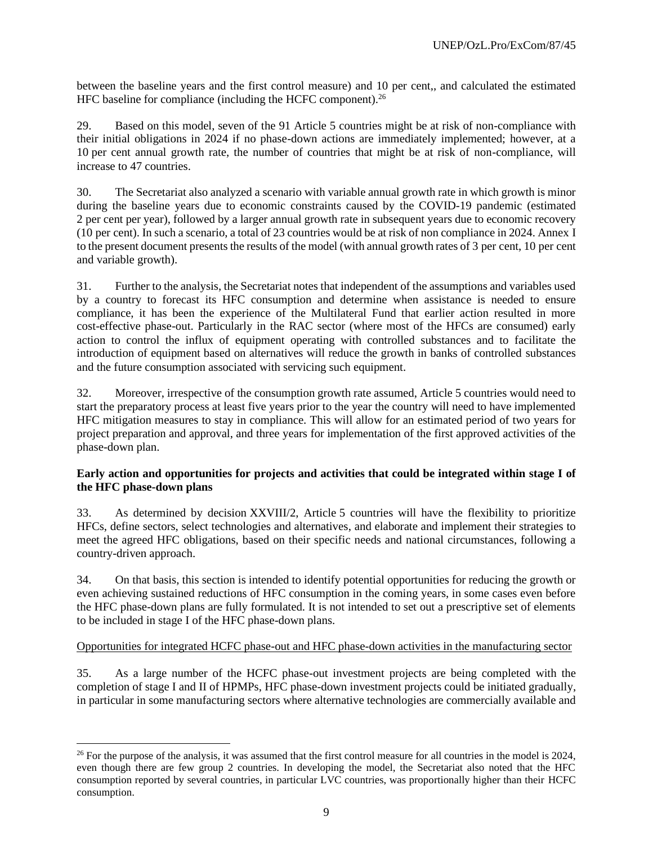between the baseline years and the first control measure) and 10 per cent,, and calculated the estimated HFC baseline for compliance (including the HCFC component).<sup>26</sup>

29. Based on this model, seven of the 91 Article 5 countries might be at risk of non-compliance with their initial obligations in 2024 if no phase-down actions are immediately implemented; however, at a 10 per cent annual growth rate, the number of countries that might be at risk of non-compliance, will increase to 47 countries.

30. The Secretariat also analyzed a scenario with variable annual growth rate in which growth is minor during the baseline years due to economic constraints caused by the COVID-19 pandemic (estimated 2 per cent per year), followed by a larger annual growth rate in subsequent years due to economic recovery (10 per cent). In such a scenario, a total of 23 countries would be at risk of non compliance in 2024. Annex I to the present document presents the results of the model (with annual growth rates of 3 per cent, 10 per cent and variable growth).

31. Further to the analysis, the Secretariat notes that independent of the assumptions and variables used by a country to forecast its HFC consumption and determine when assistance is needed to ensure compliance, it has been the experience of the Multilateral Fund that earlier action resulted in more cost-effective phase-out. Particularly in the RAC sector (where most of the HFCs are consumed) early action to control the influx of equipment operating with controlled substances and to facilitate the introduction of equipment based on alternatives will reduce the growth in banks of controlled substances and the future consumption associated with servicing such equipment.

32. Moreover, irrespective of the consumption growth rate assumed, Article 5 countries would need to start the preparatory process at least five years prior to the year the country will need to have implemented HFC mitigation measures to stay in compliance. This will allow for an estimated period of two years for project preparation and approval, and three years for implementation of the first approved activities of the phase-down plan.

# **Early action and opportunities for projects and activities that could be integrated within stage I of the HFC phase-down plans**

33. As determined by decision XXVIII/2, Article 5 countries will have the flexibility to prioritize HFCs, define sectors, select technologies and alternatives, and elaborate and implement their strategies to meet the agreed HFC obligations, based on their specific needs and national circumstances, following a country-driven approach.

34. On that basis, this section is intended to identify potential opportunities for reducing the growth or even achieving sustained reductions of HFC consumption in the coming years, in some cases even before the HFC phase-down plans are fully formulated. It is not intended to set out a prescriptive set of elements to be included in stage I of the HFC phase-down plans.

## Opportunities for integrated HCFC phase-out and HFC phase-down activities in the manufacturing sector

35. As a large number of the HCFC phase-out investment projects are being completed with the completion of stage I and II of HPMPs, HFC phase-down investment projects could be initiated gradually, in particular in some manufacturing sectors where alternative technologies are commercially available and

 $26$  For the purpose of the analysis, it was assumed that the first control measure for all countries in the model is 2024, even though there are few group 2 countries. In developing the model, the Secretariat also noted that the HFC consumption reported by several countries, in particular LVC countries, was proportionally higher than their HCFC consumption.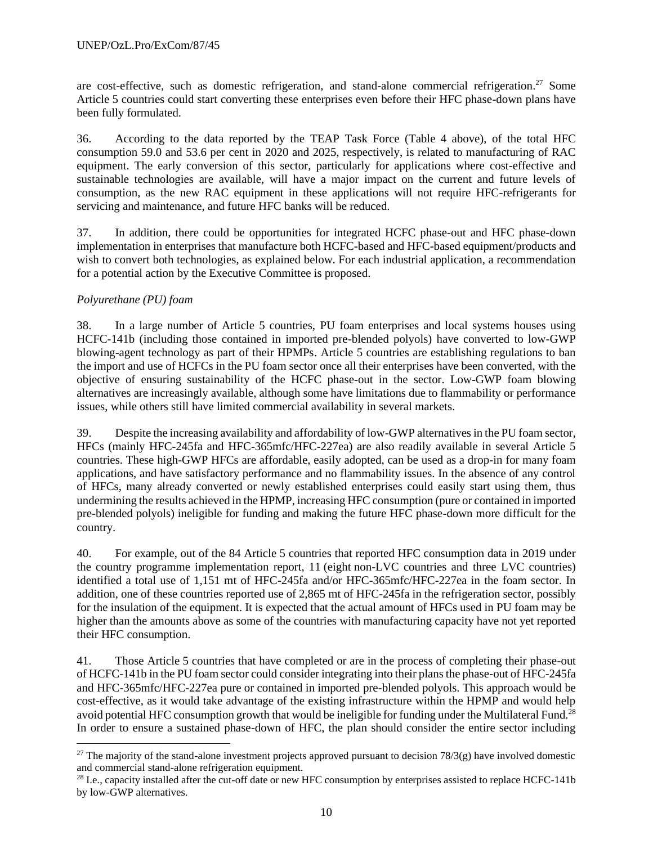are cost-effective, such as domestic refrigeration, and stand-alone commercial refrigeration.<sup>27</sup> Some Article 5 countries could start converting these enterprises even before their HFC phase-down plans have been fully formulated.

36. According to the data reported by the TEAP Task Force (Table 4 above), of the total HFC consumption 59.0 and 53.6 per cent in 2020 and 2025, respectively, is related to manufacturing of RAC equipment. The early conversion of this sector, particularly for applications where cost-effective and sustainable technologies are available, will have a major impact on the current and future levels of consumption, as the new RAC equipment in these applications will not require HFC-refrigerants for servicing and maintenance, and future HFC banks will be reduced.

37. In addition, there could be opportunities for integrated HCFC phase-out and HFC phase-down implementation in enterprises that manufacture both HCFC-based and HFC-based equipment/products and wish to convert both technologies, as explained below. For each industrial application, a recommendation for a potential action by the Executive Committee is proposed.

# *Polyurethane (PU) foam*

38. In a large number of Article 5 countries, PU foam enterprises and local systems houses using HCFC-141b (including those contained in imported pre-blended polyols) have converted to low-GWP blowing-agent technology as part of their HPMPs. Article 5 countries are establishing regulations to ban the import and use of HCFCs in the PU foam sector once all their enterprises have been converted, with the objective of ensuring sustainability of the HCFC phase-out in the sector. Low-GWP foam blowing alternatives are increasingly available, although some have limitations due to flammability or performance issues, while others still have limited commercial availability in several markets.

39. Despite the increasing availability and affordability of low-GWP alternatives in the PU foam sector, HFCs (mainly HFC-245fa and HFC-365mfc/HFC-227ea) are also readily available in several Article 5 countries. These high-GWP HFCs are affordable, easily adopted, can be used as a drop-in for many foam applications, and have satisfactory performance and no flammability issues. In the absence of any control of HFCs, many already converted or newly established enterprises could easily start using them, thus undermining the results achieved in the HPMP, increasing HFC consumption (pure or contained in imported pre-blended polyols) ineligible for funding and making the future HFC phase-down more difficult for the country.

40. For example, out of the 84 Article 5 countries that reported HFC consumption data in 2019 under the country programme implementation report, 11 (eight non-LVC countries and three LVC countries) identified a total use of 1,151 mt of HFC-245fa and/or HFC-365mfc/HFC-227ea in the foam sector. In addition, one of these countries reported use of 2,865 mt of HFC-245fa in the refrigeration sector, possibly for the insulation of the equipment. It is expected that the actual amount of HFCs used in PU foam may be higher than the amounts above as some of the countries with manufacturing capacity have not yet reported their HFC consumption.

41. Those Article 5 countries that have completed or are in the process of completing their phase-out of HCFC-141b in the PU foam sector could consider integrating into their plans the phase-out of HFC-245fa and HFC-365mfc/HFC-227ea pure or contained in imported pre-blended polyols. This approach would be cost-effective, as it would take advantage of the existing infrastructure within the HPMP and would help avoid potential HFC consumption growth that would be ineligible for funding under the Multilateral Fund.<sup>28</sup> In order to ensure a sustained phase-down of HFC, the plan should consider the entire sector including

 $27$  The majority of the stand-alone investment projects approved pursuant to decision 78/3(g) have involved domestic and commercial stand-alone refrigeration equipment.

<sup>&</sup>lt;sup>28</sup> I.e., capacity installed after the cut-off date or new HFC consumption by enterprises assisted to replace HCFC-141b by low-GWP alternatives.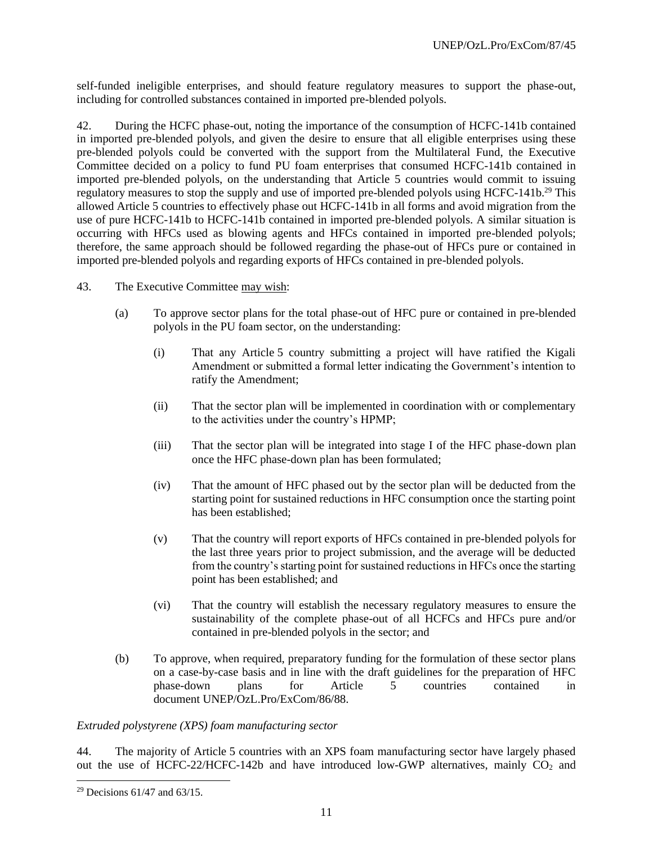self-funded ineligible enterprises, and should feature regulatory measures to support the phase-out, including for controlled substances contained in imported pre-blended polyols.

42. During the HCFC phase-out, noting the importance of the consumption of HCFC-141b contained in imported pre-blended polyols, and given the desire to ensure that all eligible enterprises using these pre-blended polyols could be converted with the support from the Multilateral Fund, the Executive Committee decided on a policy to fund PU foam enterprises that consumed HCFC-141b contained in imported pre-blended polyols, on the understanding that Article 5 countries would commit to issuing regulatory measures to stop the supply and use of imported pre-blended polyols using HCFC-141b.<sup>29</sup> This allowed Article 5 countries to effectively phase out HCFC-141b in all forms and avoid migration from the use of pure HCFC-141b to HCFC-141b contained in imported pre-blended polyols. A similar situation is occurring with HFCs used as blowing agents and HFCs contained in imported pre-blended polyols; therefore, the same approach should be followed regarding the phase-out of HFCs pure or contained in imported pre-blended polyols and regarding exports of HFCs contained in pre-blended polyols.

- 43. The Executive Committee may wish:
	- (a) To approve sector plans for the total phase-out of HFC pure or contained in pre-blended polyols in the PU foam sector, on the understanding:
		- (i) That any Article 5 country submitting a project will have ratified the Kigali Amendment or submitted a formal letter indicating the Government's intention to ratify the Amendment;
		- (ii) That the sector plan will be implemented in coordination with or complementary to the activities under the country's HPMP;
		- (iii) That the sector plan will be integrated into stage I of the HFC phase-down plan once the HFC phase-down plan has been formulated;
		- (iv) That the amount of HFC phased out by the sector plan will be deducted from the starting point for sustained reductions in HFC consumption once the starting point has been established;
		- (v) That the country will report exports of HFCs contained in pre-blended polyols for the last three years prior to project submission, and the average will be deducted from the country's starting point for sustained reductions in HFCs once the starting point has been established; and
		- (vi) That the country will establish the necessary regulatory measures to ensure the sustainability of the complete phase-out of all HCFCs and HFCs pure and/or contained in pre-blended polyols in the sector; and
	- (b) To approve, when required, preparatory funding for the formulation of these sector plans on a case-by-case basis and in line with the draft guidelines for the preparation of HFC phase-down plans for Article 5 countries contained in document UNEP/OzL.Pro/ExCom/86/88.

#### *Extruded polystyrene (XPS) foam manufacturing sector*

44. The majority of Article 5 countries with an XPS foam manufacturing sector have largely phased out the use of HCFC-22/HCFC-142b and have introduced low-GWP alternatives, mainly  $CO<sub>2</sub>$  and

<sup>&</sup>lt;sup>29</sup> Decisions  $61/47$  and  $63/15$ .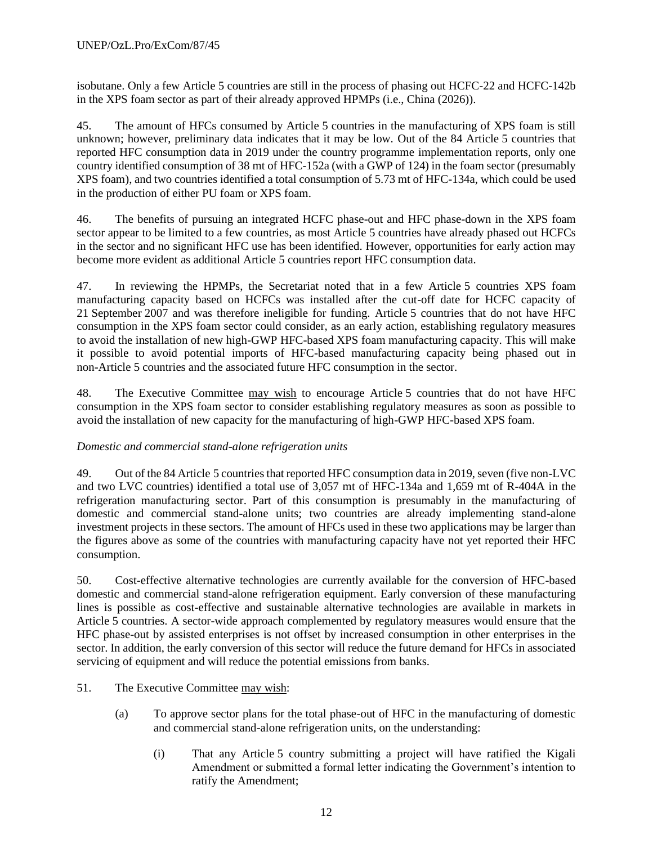isobutane. Only a few Article 5 countries are still in the process of phasing out HCFC-22 and HCFC-142b in the XPS foam sector as part of their already approved HPMPs (i.e., China (2026)).

45. The amount of HFCs consumed by Article 5 countries in the manufacturing of XPS foam is still unknown; however, preliminary data indicates that it may be low. Out of the 84 Article 5 countries that reported HFC consumption data in 2019 under the country programme implementation reports, only one country identified consumption of 38 mt of HFC-152a (with a GWP of 124) in the foam sector (presumably XPS foam), and two countries identified a total consumption of 5.73 mt of HFC-134a, which could be used in the production of either PU foam or XPS foam.

46. The benefits of pursuing an integrated HCFC phase-out and HFC phase-down in the XPS foam sector appear to be limited to a few countries, as most Article 5 countries have already phased out HCFCs in the sector and no significant HFC use has been identified. However, opportunities for early action may become more evident as additional Article 5 countries report HFC consumption data.

47. In reviewing the HPMPs, the Secretariat noted that in a few Article 5 countries XPS foam manufacturing capacity based on HCFCs was installed after the cut-off date for HCFC capacity of 21 September 2007 and was therefore ineligible for funding. Article 5 countries that do not have HFC consumption in the XPS foam sector could consider, as an early action, establishing regulatory measures to avoid the installation of new high-GWP HFC-based XPS foam manufacturing capacity. This will make it possible to avoid potential imports of HFC-based manufacturing capacity being phased out in non-Article 5 countries and the associated future HFC consumption in the sector.

48. The Executive Committee may wish to encourage Article 5 countries that do not have HFC consumption in the XPS foam sector to consider establishing regulatory measures as soon as possible to avoid the installation of new capacity for the manufacturing of high-GWP HFC-based XPS foam.

# *Domestic and commercial stand-alone refrigeration units*

49. Out of the 84 Article 5 countries that reported HFC consumption data in 2019, seven (five non-LVC and two LVC countries) identified a total use of 3,057 mt of HFC-134a and 1,659 mt of R-404A in the refrigeration manufacturing sector. Part of this consumption is presumably in the manufacturing of domestic and commercial stand-alone units; two countries are already implementing stand-alone investment projects in these sectors. The amount of HFCs used in these two applications may be larger than the figures above as some of the countries with manufacturing capacity have not yet reported their HFC consumption.

50. Cost-effective alternative technologies are currently available for the conversion of HFC-based domestic and commercial stand-alone refrigeration equipment. Early conversion of these manufacturing lines is possible as cost-effective and sustainable alternative technologies are available in markets in Article 5 countries. A sector-wide approach complemented by regulatory measures would ensure that the HFC phase-out by assisted enterprises is not offset by increased consumption in other enterprises in the sector. In addition, the early conversion of this sector will reduce the future demand for HFCs in associated servicing of equipment and will reduce the potential emissions from banks.

- 51. The Executive Committee may wish:
	- (a) To approve sector plans for the total phase-out of HFC in the manufacturing of domestic and commercial stand-alone refrigeration units, on the understanding:
		- (i) That any Article 5 country submitting a project will have ratified the Kigali Amendment or submitted a formal letter indicating the Government's intention to ratify the Amendment;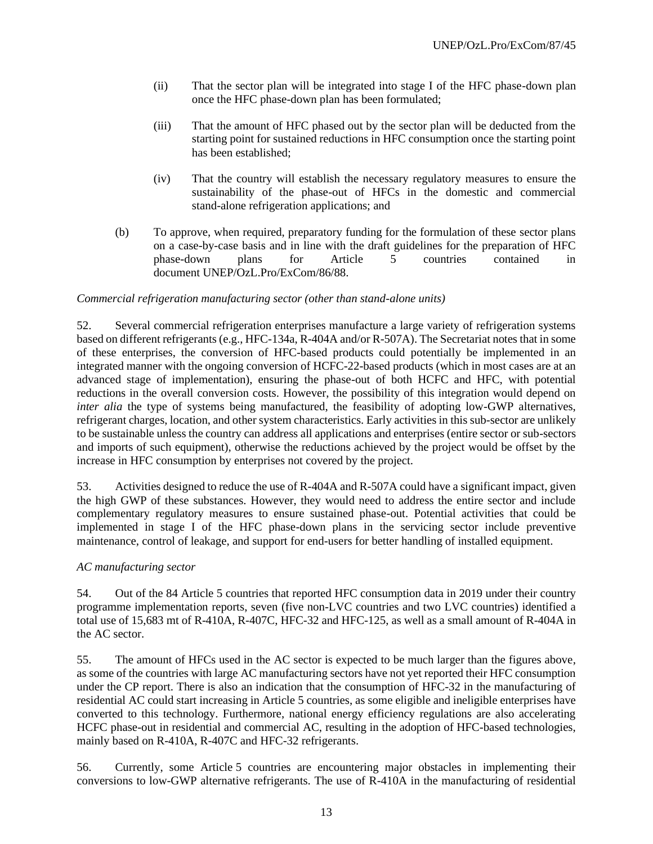- (ii) That the sector plan will be integrated into stage I of the HFC phase-down plan once the HFC phase-down plan has been formulated;
- (iii) That the amount of HFC phased out by the sector plan will be deducted from the starting point for sustained reductions in HFC consumption once the starting point has been established;
- (iv) That the country will establish the necessary regulatory measures to ensure the sustainability of the phase-out of HFCs in the domestic and commercial stand-alone refrigeration applications; and
- (b) To approve, when required, preparatory funding for the formulation of these sector plans on a case-by-case basis and in line with the draft guidelines for the preparation of HFC phase-down plans for Article 5 countries contained in document UNEP/OzL.Pro/ExCom/86/88.

#### *Commercial refrigeration manufacturing sector (other than stand-alone units)*

52. Several commercial refrigeration enterprises manufacture a large variety of refrigeration systems based on different refrigerants (e.g., HFC-134a, R-404A and/or R-507A). The Secretariat notes that in some of these enterprises, the conversion of HFC-based products could potentially be implemented in an integrated manner with the ongoing conversion of HCFC-22-based products (which in most cases are at an advanced stage of implementation), ensuring the phase-out of both HCFC and HFC, with potential reductions in the overall conversion costs. However, the possibility of this integration would depend on *inter alia* the type of systems being manufactured, the feasibility of adopting low-GWP alternatives, refrigerant charges, location, and other system characteristics. Early activities in this sub-sector are unlikely to be sustainable unless the country can address all applications and enterprises (entire sector or sub-sectors and imports of such equipment), otherwise the reductions achieved by the project would be offset by the increase in HFC consumption by enterprises not covered by the project.

53. Activities designed to reduce the use of R-404A and R-507A could have a significant impact, given the high GWP of these substances. However, they would need to address the entire sector and include complementary regulatory measures to ensure sustained phase-out. Potential activities that could be implemented in stage I of the HFC phase-down plans in the servicing sector include preventive maintenance, control of leakage, and support for end-users for better handling of installed equipment.

#### *AC manufacturing sector*

54. Out of the 84 Article 5 countries that reported HFC consumption data in 2019 under their country programme implementation reports, seven (five non-LVC countries and two LVC countries) identified a total use of 15,683 mt of R-410A, R-407C, HFC-32 and HFC-125, as well as a small amount of R-404A in the AC sector.

55. The amount of HFCs used in the AC sector is expected to be much larger than the figures above, as some of the countries with large AC manufacturing sectors have not yet reported their HFC consumption under the CP report. There is also an indication that the consumption of HFC-32 in the manufacturing of residential AC could start increasing in Article 5 countries, as some eligible and ineligible enterprises have converted to this technology. Furthermore, national energy efficiency regulations are also accelerating HCFC phase-out in residential and commercial AC, resulting in the adoption of HFC-based technologies, mainly based on R-410A, R-407C and HFC-32 refrigerants.

56. Currently, some Article 5 countries are encountering major obstacles in implementing their conversions to low-GWP alternative refrigerants. The use of R-410A in the manufacturing of residential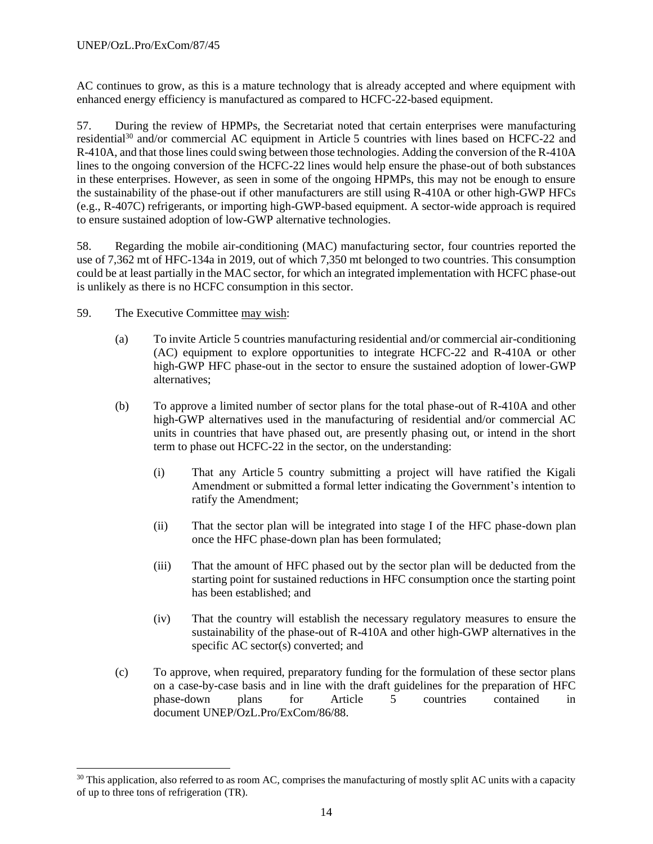AC continues to grow, as this is a mature technology that is already accepted and where equipment with enhanced energy efficiency is manufactured as compared to HCFC-22-based equipment.

57. During the review of HPMPs, the Secretariat noted that certain enterprises were manufacturing residential<sup>30</sup> and/or commercial AC equipment in Article 5 countries with lines based on HCFC-22 and R-410A, and that those lines could swing between those technologies. Adding the conversion of the R-410A lines to the ongoing conversion of the HCFC-22 lines would help ensure the phase-out of both substances in these enterprises. However, as seen in some of the ongoing HPMPs, this may not be enough to ensure the sustainability of the phase-out if other manufacturers are still using R-410A or other high-GWP HFCs (e.g., R-407C) refrigerants, or importing high-GWP-based equipment. A sector-wide approach is required to ensure sustained adoption of low-GWP alternative technologies.

58. Regarding the mobile air-conditioning (MAC) manufacturing sector, four countries reported the use of 7,362 mt of HFC-134a in 2019, out of which 7,350 mt belonged to two countries. This consumption could be at least partially in the MAC sector, for which an integrated implementation with HCFC phase-out is unlikely as there is no HCFC consumption in this sector.

- 59. The Executive Committee may wish:
	- (a) To invite Article 5 countries manufacturing residential and/or commercial air-conditioning (AC) equipment to explore opportunities to integrate HCFC-22 and R-410A or other high-GWP HFC phase-out in the sector to ensure the sustained adoption of lower-GWP alternatives;
	- (b) To approve a limited number of sector plans for the total phase-out of R-410A and other high-GWP alternatives used in the manufacturing of residential and/or commercial AC units in countries that have phased out, are presently phasing out, or intend in the short term to phase out HCFC-22 in the sector, on the understanding:
		- (i) That any Article 5 country submitting a project will have ratified the Kigali Amendment or submitted a formal letter indicating the Government's intention to ratify the Amendment;
		- (ii) That the sector plan will be integrated into stage I of the HFC phase-down plan once the HFC phase-down plan has been formulated;
		- (iii) That the amount of HFC phased out by the sector plan will be deducted from the starting point for sustained reductions in HFC consumption once the starting point has been established; and
		- (iv) That the country will establish the necessary regulatory measures to ensure the sustainability of the phase-out of R-410A and other high-GWP alternatives in the specific AC sector(s) converted; and
	- (c) To approve, when required, preparatory funding for the formulation of these sector plans on a case-by-case basis and in line with the draft guidelines for the preparation of HFC phase-down plans for Article 5 countries contained in document UNEP/OzL.Pro/ExCom/86/88.

 $30$  This application, also referred to as room AC, comprises the manufacturing of mostly split AC units with a capacity of up to three tons of refrigeration (TR).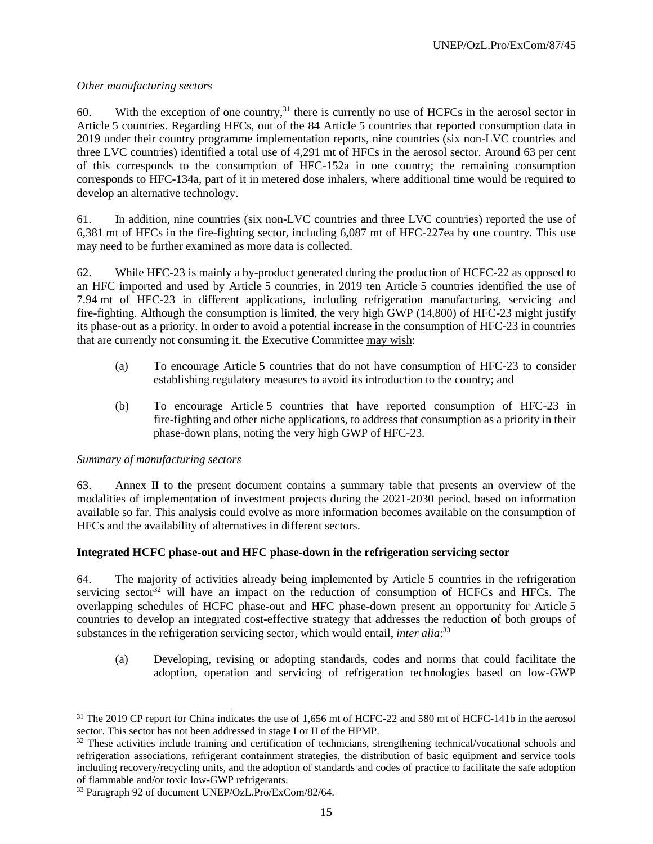## *Other manufacturing sectors*

60. With the exception of one country,<sup>31</sup> there is currently no use of HCFCs in the aerosol sector in Article 5 countries. Regarding HFCs, out of the 84 Article 5 countries that reported consumption data in 2019 under their country programme implementation reports, nine countries (six non-LVC countries and three LVC countries) identified a total use of 4,291 mt of HFCs in the aerosol sector. Around 63 per cent of this corresponds to the consumption of HFC-152a in one country; the remaining consumption corresponds to HFC-134a, part of it in metered dose inhalers, where additional time would be required to develop an alternative technology.

61. In addition, nine countries (six non-LVC countries and three LVC countries) reported the use of 6,381 mt of HFCs in the fire-fighting sector, including 6,087 mt of HFC-227ea by one country. This use may need to be further examined as more data is collected.

62. While HFC-23 is mainly a by-product generated during the production of HCFC-22 as opposed to an HFC imported and used by Article 5 countries, in 2019 ten Article 5 countries identified the use of 7.94 mt of HFC-23 in different applications, including refrigeration manufacturing, servicing and fire-fighting. Although the consumption is limited, the very high GWP (14,800) of HFC-23 might justify its phase-out as a priority. In order to avoid a potential increase in the consumption of HFC-23 in countries that are currently not consuming it, the Executive Committee may wish:

- (a) To encourage Article 5 countries that do not have consumption of HFC-23 to consider establishing regulatory measures to avoid its introduction to the country; and
- (b) To encourage Article 5 countries that have reported consumption of HFC-23 in fire-fighting and other niche applications, to address that consumption as a priority in their phase-down plans, noting the very high GWP of HFC-23.

## *Summary of manufacturing sectors*

63. Annex II to the present document contains a summary table that presents an overview of the modalities of implementation of investment projects during the 2021-2030 period, based on information available so far. This analysis could evolve as more information becomes available on the consumption of HFCs and the availability of alternatives in different sectors.

# **Integrated HCFC phase-out and HFC phase-down in the refrigeration servicing sector**

64. The majority of activities already being implemented by Article 5 countries in the refrigeration servicing sector<sup>32</sup> will have an impact on the reduction of consumption of HCFCs and HFCs. The overlapping schedules of HCFC phase-out and HFC phase-down present an opportunity for Article 5 countries to develop an integrated cost-effective strategy that addresses the reduction of both groups of substances in the refrigeration servicing sector, which would entail, *inter alia*:<sup>33</sup>

(a) Developing, revising or adopting standards, codes and norms that could facilitate the adoption, operation and servicing of refrigeration technologies based on low-GWP

<sup>&</sup>lt;sup>31</sup> The 2019 CP report for China indicates the use of 1,656 mt of HCFC-22 and 580 mt of HCFC-141b in the aerosol sector. This sector has not been addressed in stage I or II of the HPMP.

 $32$  These activities include training and certification of technicians, strengthening technical/vocational schools and refrigeration associations, refrigerant containment strategies, the distribution of basic equipment and service tools including recovery/recycling units, and the adoption of standards and codes of practice to facilitate the safe adoption of flammable and/or toxic low-GWP refrigerants.

<sup>33</sup> Paragraph 92 of document UNEP/OzL.Pro/ExCom/82/64.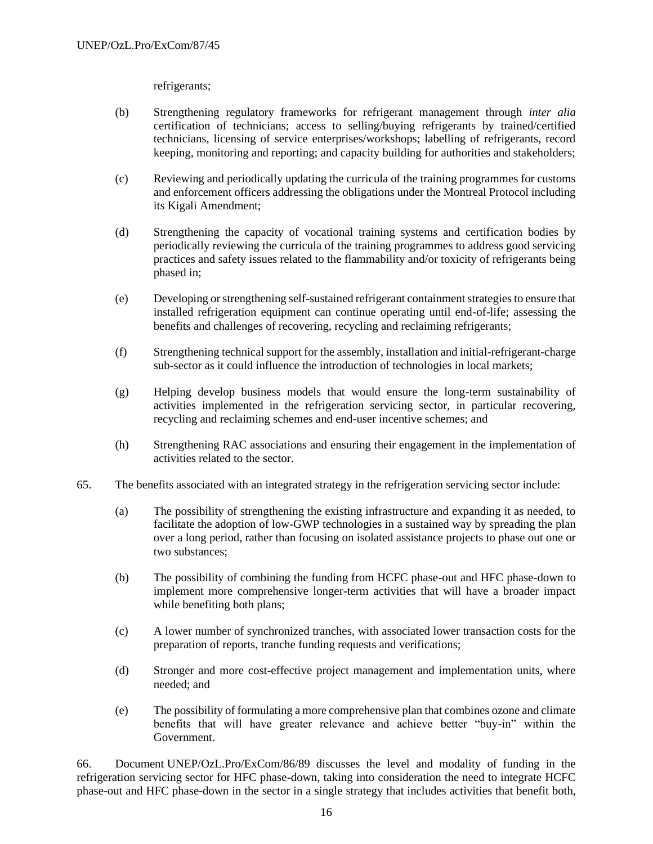refrigerants;

- (b) Strengthening regulatory frameworks for refrigerant management through *inter alia*  certification of technicians; access to selling/buying refrigerants by trained/certified technicians, licensing of service enterprises/workshops; labelling of refrigerants, record keeping, monitoring and reporting; and capacity building for authorities and stakeholders;
- (c) Reviewing and periodically updating the curricula of the training programmes for customs and enforcement officers addressing the obligations under the Montreal Protocol including its Kigali Amendment;
- (d) Strengthening the capacity of vocational training systems and certification bodies by periodically reviewing the curricula of the training programmes to address good servicing practices and safety issues related to the flammability and/or toxicity of refrigerants being phased in;
- (e) Developing or strengthening self-sustained refrigerant containment strategies to ensure that installed refrigeration equipment can continue operating until end-of-life; assessing the benefits and challenges of recovering, recycling and reclaiming refrigerants;
- (f) Strengthening technical support for the assembly, installation and initial-refrigerant-charge sub-sector as it could influence the introduction of technologies in local markets;
- (g) Helping develop business models that would ensure the long-term sustainability of activities implemented in the refrigeration servicing sector, in particular recovering, recycling and reclaiming schemes and end-user incentive schemes; and
- (h) Strengthening RAC associations and ensuring their engagement in the implementation of activities related to the sector.
- 65. The benefits associated with an integrated strategy in the refrigeration servicing sector include:
	- (a) The possibility of strengthening the existing infrastructure and expanding it as needed, to facilitate the adoption of low-GWP technologies in a sustained way by spreading the plan over a long period, rather than focusing on isolated assistance projects to phase out one or two substances;
	- (b) The possibility of combining the funding from HCFC phase-out and HFC phase-down to implement more comprehensive longer-term activities that will have a broader impact while benefiting both plans;
	- (c) A lower number of synchronized tranches, with associated lower transaction costs for the preparation of reports, tranche funding requests and verifications;
	- (d) Stronger and more cost-effective project management and implementation units, where needed; and
	- (e) The possibility of formulating a more comprehensive plan that combines ozone and climate benefits that will have greater relevance and achieve better "buy-in" within the Government.

66. Document UNEP/OzL.Pro/ExCom/86/89 discusses the level and modality of funding in the refrigeration servicing sector for HFC phase-down, taking into consideration the need to integrate HCFC phase-out and HFC phase-down in the sector in a single strategy that includes activities that benefit both,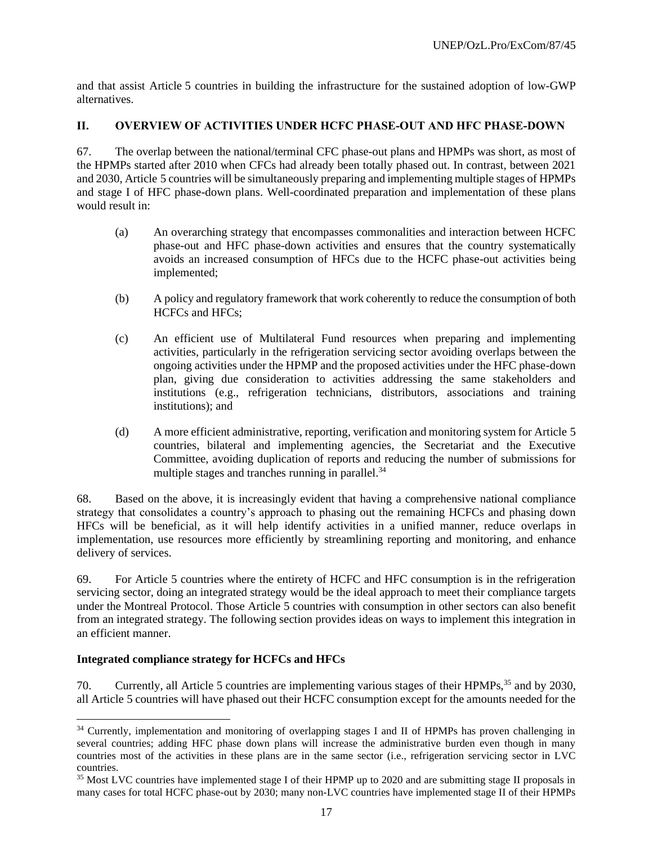and that assist Article 5 countries in building the infrastructure for the sustained adoption of low-GWP alternatives.

# **II. OVERVIEW OF ACTIVITIES UNDER HCFC PHASE-OUT AND HFC PHASE-DOWN**

67. The overlap between the national/terminal CFC phase-out plans and HPMPs was short, as most of the HPMPs started after 2010 when CFCs had already been totally phased out. In contrast, between 2021 and 2030, Article 5 countries will be simultaneously preparing and implementing multiple stages of HPMPs and stage I of HFC phase-down plans. Well-coordinated preparation and implementation of these plans would result in:

- (a) An overarching strategy that encompasses commonalities and interaction between HCFC phase-out and HFC phase-down activities and ensures that the country systematically avoids an increased consumption of HFCs due to the HCFC phase-out activities being implemented;
- (b) A policy and regulatory framework that work coherently to reduce the consumption of both HCFCs and HFCs;
- (c) An efficient use of Multilateral Fund resources when preparing and implementing activities, particularly in the refrigeration servicing sector avoiding overlaps between the ongoing activities under the HPMP and the proposed activities under the HFC phase-down plan, giving due consideration to activities addressing the same stakeholders and institutions (e.g., refrigeration technicians, distributors, associations and training institutions); and
- (d) A more efficient administrative, reporting, verification and monitoring system for Article 5 countries, bilateral and implementing agencies, the Secretariat and the Executive Committee, avoiding duplication of reports and reducing the number of submissions for multiple stages and tranches running in parallel. $34$

68. Based on the above, it is increasingly evident that having a comprehensive national compliance strategy that consolidates a country's approach to phasing out the remaining HCFCs and phasing down HFCs will be beneficial, as it will help identify activities in a unified manner, reduce overlaps in implementation, use resources more efficiently by streamlining reporting and monitoring, and enhance delivery of services.

69. For Article 5 countries where the entirety of HCFC and HFC consumption is in the refrigeration servicing sector, doing an integrated strategy would be the ideal approach to meet their compliance targets under the Montreal Protocol. Those Article 5 countries with consumption in other sectors can also benefit from an integrated strategy. The following section provides ideas on ways to implement this integration in an efficient manner.

# **Integrated compliance strategy for HCFCs and HFCs**

70. Currently, all Article 5 countries are implementing various stages of their HPMPs,<sup>35</sup> and by 2030, all Article 5 countries will have phased out their HCFC consumption except for the amounts needed for the

<sup>&</sup>lt;sup>34</sup> Currently, implementation and monitoring of overlapping stages I and II of HPMPs has proven challenging in several countries; adding HFC phase down plans will increase the administrative burden even though in many countries most of the activities in these plans are in the same sector (i.e., refrigeration servicing sector in LVC countries.

<sup>&</sup>lt;sup>35</sup> Most LVC countries have implemented stage I of their HPMP up to 2020 and are submitting stage II proposals in many cases for total HCFC phase-out by 2030; many non-LVC countries have implemented stage II of their HPMPs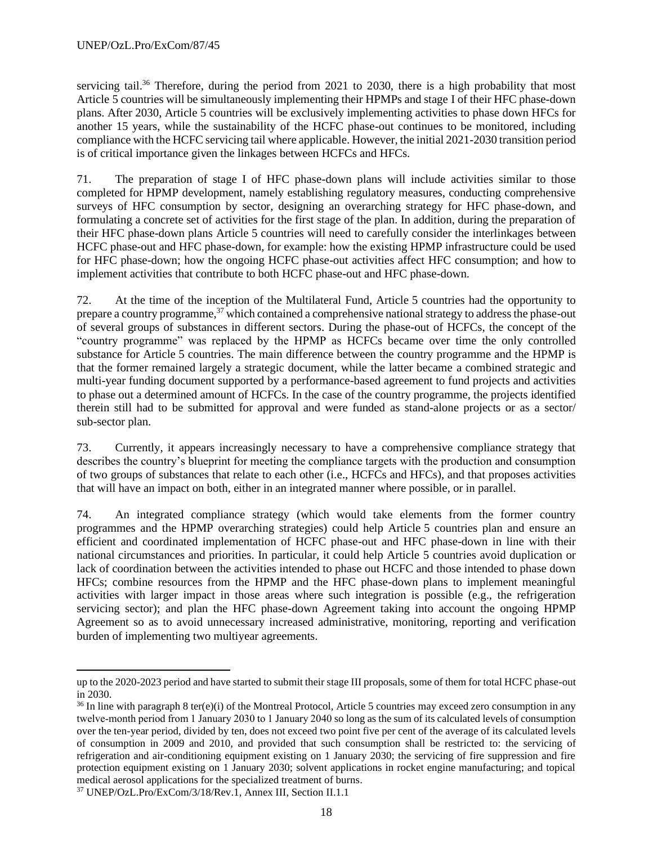servicing tail.<sup>36</sup> Therefore, during the period from 2021 to 2030, there is a high probability that most Article 5 countries will be simultaneously implementing their HPMPs and stage I of their HFC phase-down plans. After 2030, Article 5 countries will be exclusively implementing activities to phase down HFCs for another 15 years, while the sustainability of the HCFC phase-out continues to be monitored, including compliance with the HCFC servicing tail where applicable. However, the initial 2021-2030 transition period is of critical importance given the linkages between HCFCs and HFCs.

71. The preparation of stage I of HFC phase-down plans will include activities similar to those completed for HPMP development, namely establishing regulatory measures, conducting comprehensive surveys of HFC consumption by sector, designing an overarching strategy for HFC phase-down, and formulating a concrete set of activities for the first stage of the plan. In addition, during the preparation of their HFC phase-down plans Article 5 countries will need to carefully consider the interlinkages between HCFC phase-out and HFC phase-down, for example: how the existing HPMP infrastructure could be used for HFC phase-down; how the ongoing HCFC phase-out activities affect HFC consumption; and how to implement activities that contribute to both HCFC phase-out and HFC phase-down.

72. At the time of the inception of the Multilateral Fund, Article 5 countries had the opportunity to prepare a country programme, $37$  which contained a comprehensive national strategy to address the phase-out of several groups of substances in different sectors. During the phase-out of HCFCs, the concept of the "country programme" was replaced by the HPMP as HCFCs became over time the only controlled substance for Article 5 countries. The main difference between the country programme and the HPMP is that the former remained largely a strategic document, while the latter became a combined strategic and multi-year funding document supported by a performance-based agreement to fund projects and activities to phase out a determined amount of HCFCs. In the case of the country programme, the projects identified therein still had to be submitted for approval and were funded as stand-alone projects or as a sector/ sub-sector plan.

73. Currently, it appears increasingly necessary to have a comprehensive compliance strategy that describes the country's blueprint for meeting the compliance targets with the production and consumption of two groups of substances that relate to each other (i.e., HCFCs and HFCs), and that proposes activities that will have an impact on both, either in an integrated manner where possible, or in parallel.

74. An integrated compliance strategy (which would take elements from the former country programmes and the HPMP overarching strategies) could help Article 5 countries plan and ensure an efficient and coordinated implementation of HCFC phase-out and HFC phase-down in line with their national circumstances and priorities. In particular, it could help Article 5 countries avoid duplication or lack of coordination between the activities intended to phase out HCFC and those intended to phase down HFCs; combine resources from the HPMP and the HFC phase-down plans to implement meaningful activities with larger impact in those areas where such integration is possible (e.g., the refrigeration servicing sector); and plan the HFC phase-down Agreement taking into account the ongoing HPMP Agreement so as to avoid unnecessary increased administrative, monitoring, reporting and verification burden of implementing two multiyear agreements.

up to the 2020-2023 period and have started to submit their stage III proposals, some of them for total HCFC phase-out in 2030.

 $36$  In line with paragraph 8 ter(e)(i) of the Montreal Protocol, Article 5 countries may exceed zero consumption in any twelve‑month period from 1 January 2030 to 1 January 2040 so long as the sum of its calculated levels of consumption over the ten-year period, divided by ten, does not exceed two point five per cent of the average of its calculated levels of consumption in 2009 and 2010, and provided that such consumption shall be restricted to: the servicing of refrigeration and air-conditioning equipment existing on 1 January 2030; the servicing of fire suppression and fire protection equipment existing on 1 January 2030; solvent applications in rocket engine manufacturing; and topical medical aerosol applications for the specialized treatment of burns.

<sup>37</sup> UNEP/OzL.Pro/ExCom/3/18/Rev.1, Annex III, Section II.1.1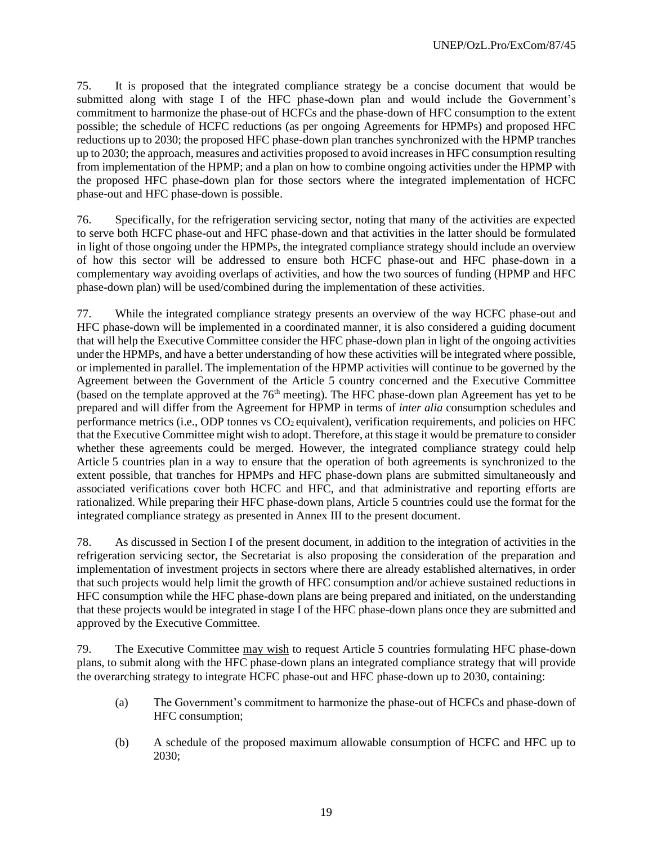75. It is proposed that the integrated compliance strategy be a concise document that would be submitted along with stage I of the HFC phase-down plan and would include the Government's commitment to harmonize the phase-out of HCFCs and the phase-down of HFC consumption to the extent possible; the schedule of HCFC reductions (as per ongoing Agreements for HPMPs) and proposed HFC reductions up to 2030; the proposed HFC phase-down plan tranches synchronized with the HPMP tranches up to 2030; the approach, measures and activities proposed to avoid increases in HFC consumption resulting from implementation of the HPMP; and a plan on how to combine ongoing activities under the HPMP with the proposed HFC phase-down plan for those sectors where the integrated implementation of HCFC phase-out and HFC phase-down is possible.

76. Specifically, for the refrigeration servicing sector, noting that many of the activities are expected to serve both HCFC phase-out and HFC phase-down and that activities in the latter should be formulated in light of those ongoing under the HPMPs, the integrated compliance strategy should include an overview of how this sector will be addressed to ensure both HCFC phase-out and HFC phase-down in a complementary way avoiding overlaps of activities, and how the two sources of funding (HPMP and HFC phase-down plan) will be used/combined during the implementation of these activities.

77. While the integrated compliance strategy presents an overview of the way HCFC phase-out and HFC phase-down will be implemented in a coordinated manner, it is also considered a guiding document that will help the Executive Committee consider the HFC phase-down plan in light of the ongoing activities under the HPMPs, and have a better understanding of how these activities will be integrated where possible, or implemented in parallel. The implementation of the HPMP activities will continue to be governed by the Agreement between the Government of the Article 5 country concerned and the Executive Committee (based on the template approved at the  $76<sup>th</sup>$  meeting). The HFC phase-down plan Agreement has yet to be prepared and will differ from the Agreement for HPMP in terms of *inter alia* consumption schedules and performance metrics (i.e., ODP tonnes vs  $CO<sub>2</sub>$  equivalent), verification requirements, and policies on HFC that the Executive Committee might wish to adopt. Therefore, at this stage it would be premature to consider whether these agreements could be merged. However, the integrated compliance strategy could help Article 5 countries plan in a way to ensure that the operation of both agreements is synchronized to the extent possible, that tranches for HPMPs and HFC phase-down plans are submitted simultaneously and associated verifications cover both HCFC and HFC, and that administrative and reporting efforts are rationalized. While preparing their HFC phase-down plans, Article 5 countries could use the format for the integrated compliance strategy as presented in Annex III to the present document.

78. As discussed in Section I of the present document, in addition to the integration of activities in the refrigeration servicing sector, the Secretariat is also proposing the consideration of the preparation and implementation of investment projects in sectors where there are already established alternatives, in order that such projects would help limit the growth of HFC consumption and/or achieve sustained reductions in HFC consumption while the HFC phase-down plans are being prepared and initiated, on the understanding that these projects would be integrated in stage I of the HFC phase-down plans once they are submitted and approved by the Executive Committee.

79. The Executive Committee may wish to request Article 5 countries formulating HFC phase-down plans, to submit along with the HFC phase-down plans an integrated compliance strategy that will provide the overarching strategy to integrate HCFC phase-out and HFC phase-down up to 2030, containing:

- (a) The Government's commitment to harmonize the phase-out of HCFCs and phase-down of HFC consumption;
- (b) A schedule of the proposed maximum allowable consumption of HCFC and HFC up to 2030;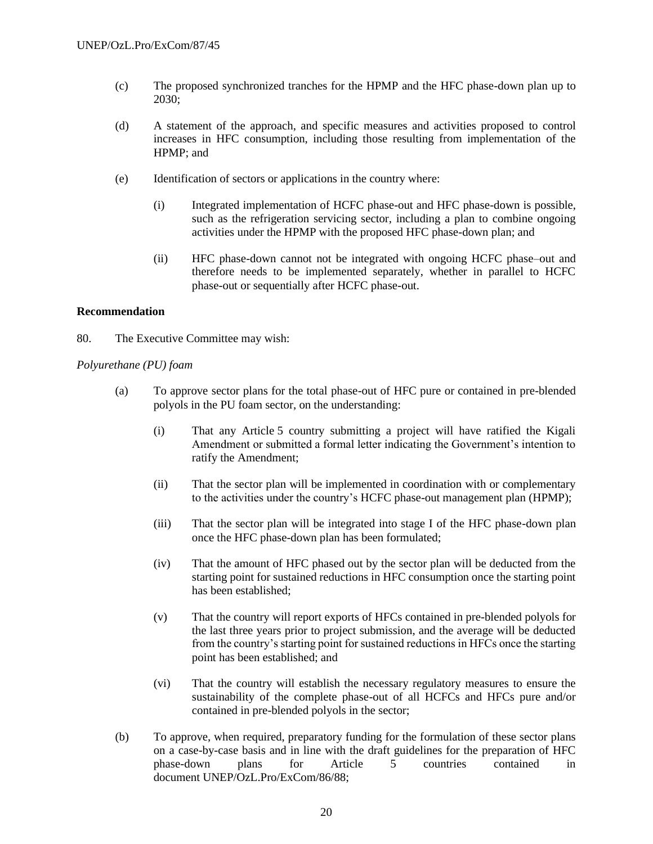- (c) The proposed synchronized tranches for the HPMP and the HFC phase-down plan up to 2030;
- (d) A statement of the approach, and specific measures and activities proposed to control increases in HFC consumption, including those resulting from implementation of the HPMP; and
- (e) Identification of sectors or applications in the country where:
	- (i) Integrated implementation of HCFC phase-out and HFC phase-down is possible, such as the refrigeration servicing sector, including a plan to combine ongoing activities under the HPMP with the proposed HFC phase-down plan; and
	- (ii) HFC phase-down cannot not be integrated with ongoing HCFC phase–out and therefore needs to be implemented separately, whether in parallel to HCFC phase-out or sequentially after HCFC phase-out.

#### **Recommendation**

80. The Executive Committee may wish:

#### *Polyurethane (PU) foam*

- (a) To approve sector plans for the total phase-out of HFC pure or contained in pre-blended polyols in the PU foam sector, on the understanding:
	- (i) That any Article 5 country submitting a project will have ratified the Kigali Amendment or submitted a formal letter indicating the Government's intention to ratify the Amendment;
	- (ii) That the sector plan will be implemented in coordination with or complementary to the activities under the country's HCFC phase-out management plan (HPMP);
	- (iii) That the sector plan will be integrated into stage I of the HFC phase-down plan once the HFC phase-down plan has been formulated;
	- (iv) That the amount of HFC phased out by the sector plan will be deducted from the starting point for sustained reductions in HFC consumption once the starting point has been established;
	- (v) That the country will report exports of HFCs contained in pre-blended polyols for the last three years prior to project submission, and the average will be deducted from the country's starting point for sustained reductions in HFCs once the starting point has been established; and
	- (vi) That the country will establish the necessary regulatory measures to ensure the sustainability of the complete phase-out of all HCFCs and HFCs pure and/or contained in pre-blended polyols in the sector;
- (b) To approve, when required, preparatory funding for the formulation of these sector plans on a case-by-case basis and in line with the draft guidelines for the preparation of HFC phase-down plans for Article 5 countries contained in document UNEP/OzL.Pro/ExCom/86/88;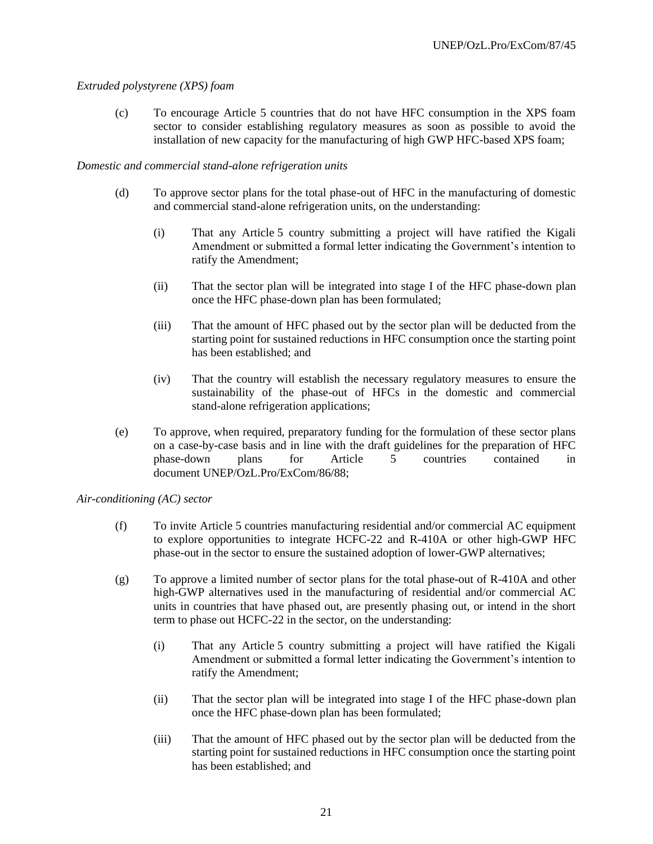## *Extruded polystyrene (XPS) foam*

(c) To encourage Article 5 countries that do not have HFC consumption in the XPS foam sector to consider establishing regulatory measures as soon as possible to avoid the installation of new capacity for the manufacturing of high GWP HFC-based XPS foam;

#### *Domestic and commercial stand-alone refrigeration units*

- (d) To approve sector plans for the total phase-out of HFC in the manufacturing of domestic and commercial stand-alone refrigeration units, on the understanding:
	- (i) That any Article 5 country submitting a project will have ratified the Kigali Amendment or submitted a formal letter indicating the Government's intention to ratify the Amendment;
	- (ii) That the sector plan will be integrated into stage I of the HFC phase-down plan once the HFC phase-down plan has been formulated;
	- (iii) That the amount of HFC phased out by the sector plan will be deducted from the starting point for sustained reductions in HFC consumption once the starting point has been established; and
	- (iv) That the country will establish the necessary regulatory measures to ensure the sustainability of the phase-out of HFCs in the domestic and commercial stand-alone refrigeration applications;
- (e) To approve, when required, preparatory funding for the formulation of these sector plans on a case-by-case basis and in line with the draft guidelines for the preparation of HFC phase-down plans for Article 5 countries contained in document UNEP/OzL.Pro/ExCom/86/88;

#### *Air-conditioning (AC) sector*

- (f) To invite Article 5 countries manufacturing residential and/or commercial AC equipment to explore opportunities to integrate HCFC-22 and R-410A or other high-GWP HFC phase-out in the sector to ensure the sustained adoption of lower-GWP alternatives;
- (g) To approve a limited number of sector plans for the total phase-out of R-410A and other high-GWP alternatives used in the manufacturing of residential and/or commercial AC units in countries that have phased out, are presently phasing out, or intend in the short term to phase out HCFC-22 in the sector, on the understanding:
	- (i) That any Article 5 country submitting a project will have ratified the Kigali Amendment or submitted a formal letter indicating the Government's intention to ratify the Amendment;
	- (ii) That the sector plan will be integrated into stage I of the HFC phase-down plan once the HFC phase-down plan has been formulated;
	- (iii) That the amount of HFC phased out by the sector plan will be deducted from the starting point for sustained reductions in HFC consumption once the starting point has been established; and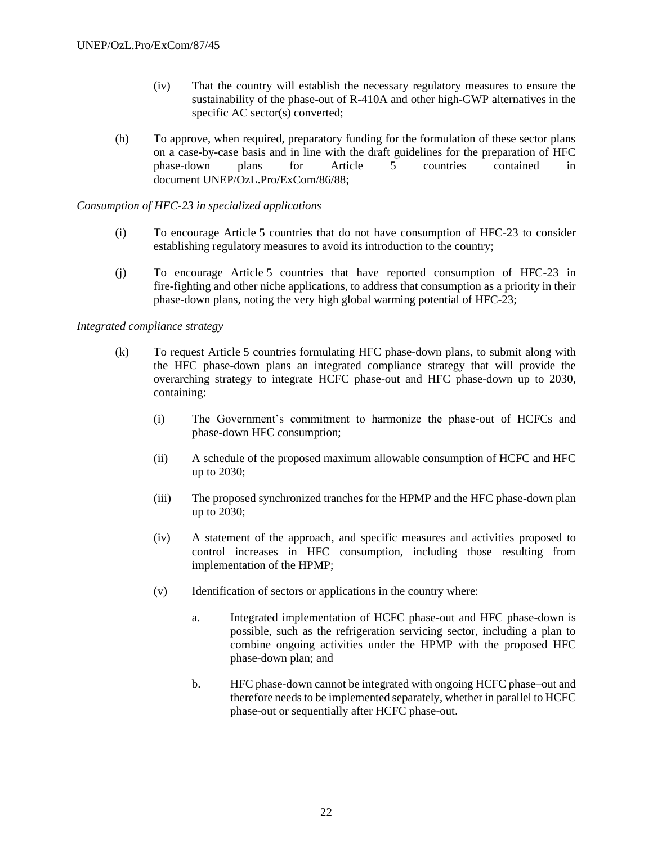- (iv) That the country will establish the necessary regulatory measures to ensure the sustainability of the phase-out of R-410A and other high-GWP alternatives in the specific AC sector(s) converted;
- (h) To approve, when required, preparatory funding for the formulation of these sector plans on a case-by-case basis and in line with the draft guidelines for the preparation of HFC phase-down plans for Article 5 countries contained in document UNEP/OzL.Pro/ExCom/86/88;

# *Consumption of HFC-23 in specialized applications*

- (i) To encourage Article 5 countries that do not have consumption of HFC-23 to consider establishing regulatory measures to avoid its introduction to the country;
- (j) To encourage Article 5 countries that have reported consumption of HFC-23 in fire-fighting and other niche applications, to address that consumption as a priority in their phase-down plans, noting the very high global warming potential of HFC-23;

## *Integrated compliance strategy*

- (k) To request Article 5 countries formulating HFC phase-down plans, to submit along with the HFC phase-down plans an integrated compliance strategy that will provide the overarching strategy to integrate HCFC phase-out and HFC phase-down up to 2030, containing:
	- (i) The Government's commitment to harmonize the phase-out of HCFCs and phase-down HFC consumption;
	- (ii) A schedule of the proposed maximum allowable consumption of HCFC and HFC up to 2030;
	- (iii) The proposed synchronized tranches for the HPMP and the HFC phase-down plan up to 2030;
	- (iv) A statement of the approach, and specific measures and activities proposed to control increases in HFC consumption, including those resulting from implementation of the HPMP;
	- (v) Identification of sectors or applications in the country where:
		- a. Integrated implementation of HCFC phase-out and HFC phase-down is possible, such as the refrigeration servicing sector, including a plan to combine ongoing activities under the HPMP with the proposed HFC phase-down plan; and
		- b. HFC phase-down cannot be integrated with ongoing HCFC phase–out and therefore needs to be implemented separately, whether in parallel to HCFC phase-out or sequentially after HCFC phase-out.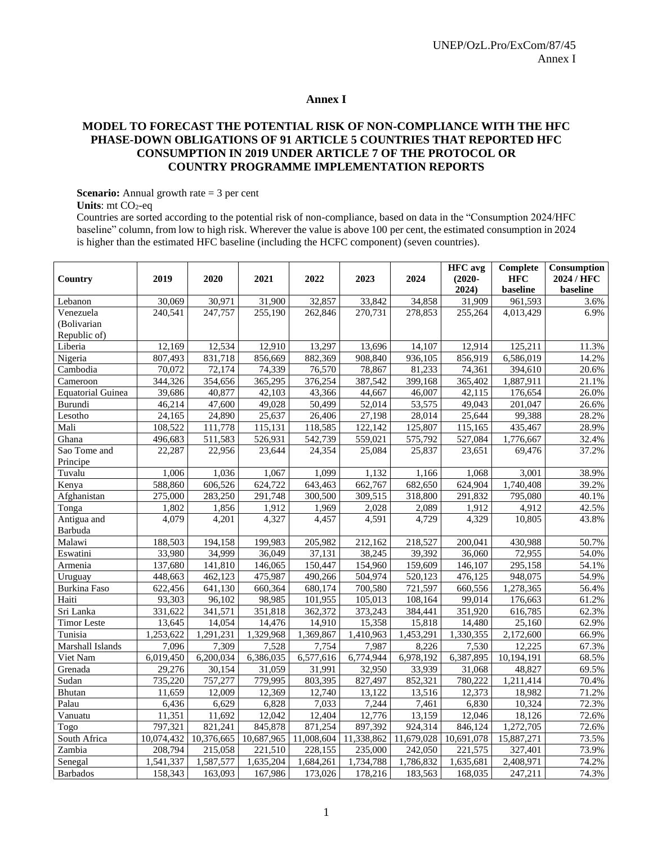#### **Annex I**

## **MODEL TO FORECAST THE POTENTIAL RISK OF NON-COMPLIANCE WITH THE HFC PHASE-DOWN OBLIGATIONS OF 91 ARTICLE 5 COUNTRIES THAT REPORTED HFC CONSUMPTION IN 2019 UNDER ARTICLE 7 OF THE PROTOCOL OR COUNTRY PROGRAMME IMPLEMENTATION REPORTS**

**Scenario:** Annual growth rate = 3 per cent

**Units**: mt CO<sub>2</sub>-eq

Countries are sorted according to the potential risk of non-compliance, based on data in the "Consumption 2024/HFC baseline" column, from low to high risk. Wherever the value is above 100 per cent, the estimated consumption in 2024 is higher than the estimated HFC baseline (including the HCFC component) (seven countries).

|                          |            |            |            |            |            |            | <b>HFC</b> avg | Complete           | Consumption |
|--------------------------|------------|------------|------------|------------|------------|------------|----------------|--------------------|-------------|
| Country                  | 2019       | 2020       | 2021       | 2022       | 2023       | 2024       | $(2020 -$      | <b>HFC</b>         | 2024 / HFC  |
|                          |            |            |            |            |            |            | 2024)          | baseline           | baseline    |
| Lebanon                  | 30,069     | 30,971     | 31,900     | 32,857     | 33,842     | 34,858     | 31,909         | 961,593            | 3.6%        |
| Venezuela                | 240,541    | 247,757    | 255,190    | 262,846    | 270,731    | 278,853    | 255,264        | 4,013,429          | 6.9%        |
| (Bolivarian              |            |            |            |            |            |            |                |                    |             |
| Republic of)             |            |            |            |            |            |            |                |                    |             |
| Liberia                  | 12,169     | 12,534     | 12,910     | 13,297     | 13,696     | 14,107     | 12,914         | 125,211            | 11.3%       |
| Nigeria                  | 807,493    | 831,718    | 856,669    | 882,369    | 908,840    | 936,105    | 856,919        | 6,586,019          | 14.2%       |
| Cambodia                 | 70,072     | 72,174     | 74,339     | 76,570     | 78,867     | 81,233     | 74,361         | 394,610            | 20.6%       |
| Cameroon                 | 344,326    | 354,656    | 365,295    | 376,254    | 387,542    | 399,168    | 365,402        | 1,887,911          | 21.1%       |
| <b>Equatorial Guinea</b> | 39,686     | 40,877     | 42,103     | 43,366     | 44,667     | 46,007     | 42,115         | 176,654            | 26.0%       |
| Burundi                  | 46,214     | 47,600     | 49,028     | 50,499     | 52,014     | 53,575     | 49,043         | 201,047            | 26.6%       |
| Lesotho                  | 24,165     | 24,890     | 25,637     | 26,406     | 27,198     | 28,014     | 25,644         | 99,388             | 28.2%       |
| Mali                     | 108,522    | 111,778    | 115,131    | 118,585    | 122,142    | 125,807    | 115,165        | 435,467            | 28.9%       |
| Ghana                    | 496,683    | 511,583    | 526,931    | 542,739    | 559,021    | 575,792    | 527,084        | 1,776,667          | 32.4%       |
| Sao Tome and             | 22,287     | 22,956     | 23,644     | 24,354     | 25,084     | 25,837     | 23,651         | 69,476             | 37.2%       |
| Principe                 |            |            |            |            |            |            |                |                    |             |
| Tuvalu                   | 1,006      | 1,036      | 1,067      | 1.099      | 1,132      | 1,166      | 1,068          | $\overline{3,001}$ | 38.9%       |
| Kenya                    | 588,860    | 606,526    | 624,722    | 643,463    | 662,767    | 682,650    | 624,904        | 1,740,408          | 39.2%       |
| Afghanistan              | 275,000    | 283,250    | 291,748    | 300,500    | 309,515    | 318,800    | 291,832        | 795,080            | 40.1%       |
| Tonga                    | 1,802      | 1,856      | 1,912      | 1,969      | 2,028      | 2,089      | 1,912          | 4,912              | 42.5%       |
| Antigua and              | 4,079      | 4,201      | 4,327      | 4,457      | 4,591      | 4,729      | 4,329          | 10,805             | 43.8%       |
| Barbuda                  |            |            |            |            |            |            |                |                    |             |
| Malawi                   | 188,503    | 194,158    | 199,983    | 205,982    | 212,162    | 218,527    | 200,041        | 430,988            | 50.7%       |
| Eswatini                 | 33,980     | 34,999     | 36,049     | 37,131     | 38,245     | 39,392     | 36,060         | 72,955             | 54.0%       |
| Armenia                  | 137,680    | 141,810    | 146,065    | 150,447    | 154,960    | 159,609    | 146,107        | 295,158            | 54.1%       |
| Uruguay                  | 448,663    | 462,123    | 475,987    | 490,266    | 504,974    | 520,123    | 476,125        | 948,075            | 54.9%       |
| Burkina Faso             | 622,456    | 641,130    | 660,364    | 680,174    | 700,580    | 721,597    | 660,556        | 1,278,365          | 56.4%       |
| Haiti                    | 93,303     | 96,102     | 98,985     | 101,955    | 105,013    | 108,164    | 99,014         | 176,663            | 61.2%       |
| Sri Lanka                | 331,622    | 341,571    | 351,818    | 362,372    | 373,243    | 384,441    | 351,920        | 616,785            | 62.3%       |
| <b>Timor Leste</b>       | 13,645     | 14,054     | 14,476     | 14,910     | 15,358     | 15,818     | 14,480         | 25,160             | 62.9%       |
| Tunisia                  | 1,253,622  | 1,291,231  | 1,329,968  | 1,369,867  | 1,410,963  | 1,453,291  | 1,330,355      | 2,172,600          | 66.9%       |
| Marshall Islands         | 7.096      | 7.309      | 7,528      | 7,754      | 7,987      | 8,226      | 7,530          | 12,225             | 67.3%       |
| Viet Nam                 | 6,019,450  | 6,200,034  | 6,386,035  | 6,577,616  | 6,774,944  | 6,978,192  | 6,387,895      | 10,194,191         | 68.5%       |
| Grenada                  | 29,276     | 30,154     | 31,059     | 31,991     | 32,950     | 33,939     | 31,068         | 48,827             | 69.5%       |
| Sudan                    | 735,220    | 757,277    | 779,995    | 803,395    | 827,497    | 852,321    | 780,222        | 1,211,414          | 70.4%       |
| Bhutan                   | 11,659     | 12,009     | 12,369     | 12,740     | 13,122     | 13,516     | 12,373         | 18,982             | 71.2%       |
| Palau                    | 6,436      | 6,629      | 6,828      | 7,033      | 7,244      | 7,461      | 6,830          | 10,324             | 72.3%       |
| Vanuatu                  | 11,351     | 11,692     | 12,042     | 12,404     | 12,776     | 13,159     | 12,046         | 18,126             | 72.6%       |
| Togo                     | 797,321    | 821,241    | 845,878    | 871,254    | 897,392    | 924,314    | 846,124        | 1,272,705          | 72.6%       |
| South Africa             | 10,074,432 | 10,376,665 | 10,687,965 | 11,008,604 | 11,338,862 | 11,679,028 | 10,691,078     | 15,887,271         | 73.5%       |
| Zambia                   | 208,794    | 215,058    | 221,510    | 228,155    | 235,000    | 242,050    | 221,575        | 327,401            | 73.9%       |
| Senegal                  | 1,541,337  | 1,587,577  | 1,635,204  | 1,684,261  | 1,734,788  | 1,786,832  | 1,635,681      | 2,408,971          | 74.2%       |
| Barbados                 | 158,343    | 163,093    | 167,986    | 173,026    | 178,216    | 183,563    | 168,035        | 247,211            | 74.3%       |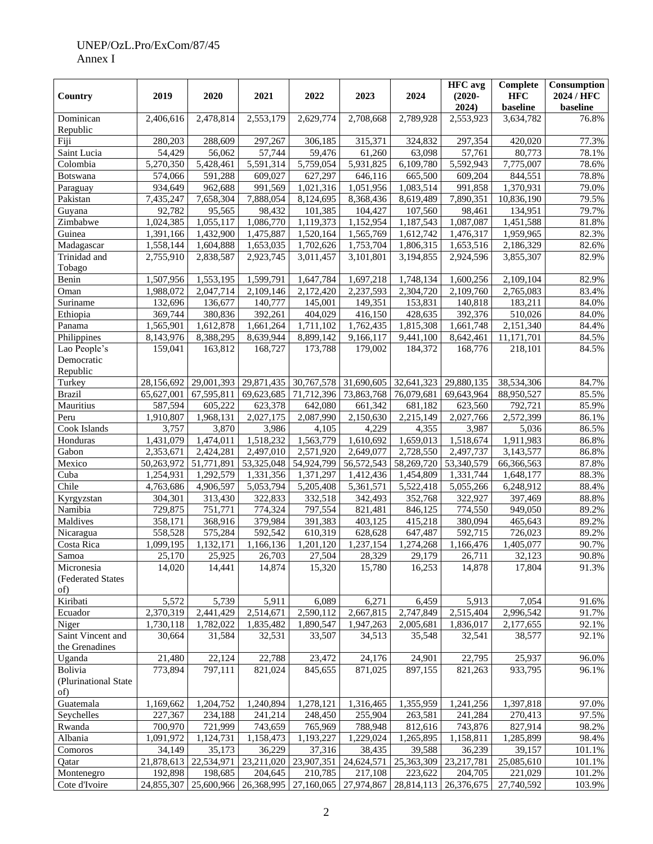|                                        |                        |                        |                                  |                        |                        |                        | <b>HFC</b> avg         | Complete               | Consumption    |
|----------------------------------------|------------------------|------------------------|----------------------------------|------------------------|------------------------|------------------------|------------------------|------------------------|----------------|
| Country                                | 2019                   | 2020                   | 2021                             | 2022                   | 2023                   | 2024                   | $(2020 -$              | <b>HFC</b>             | 2024 / HFC     |
|                                        |                        |                        |                                  |                        |                        |                        | 2024)                  | baseline               | baseline       |
| Dominican<br>Republic                  | 2,406,616              | 2,478,814              | 2,553,179                        | 2,629,774              | 2,708,668              | 2,789,928              | 2,553,923              | 3,634,782              | 76.8%          |
| Fiji                                   | 280,203                | 288,609                | 297,267                          | 306,185                | 315,371                | 324,832                | 297,354                | 420,020                | 77.3%          |
| Saint Lucia                            | 54,429                 | 56,062                 | 57,744                           | 59,476                 | 61,260                 | 63,098                 | 57,761                 | 80,773                 | 78.1%          |
| Colombia                               | 5,270,350              | $\overline{5,}428,461$ | 5,591,314                        | 5,759,054              | 5,931,825              | 6,109,780              | 5,592,943              | 7,775,007              | 78.6%          |
| <b>Botswana</b>                        | 574,066                | 591,288                | 609,027                          | 627,297                | 646,116                | 665,500                | 609,204                | 844,551                | 78.8%          |
| Paraguay                               | 934,649                | 962,688                | 991,569                          | 1,021,316              | 1,051,956              | 1,083,514              | 991,858                | 1,370,931              | 79.0%          |
| Pakistan                               | 7,435,247              | 7,658,304              | 7,888,054                        | 8,124,695              | 8,368,436              | 8,619,489              | 7,890,351              | 10,836,190             | 79.5%          |
| Guyana                                 | 92,782                 | 95,565                 | 98,432                           | 101,385                | 104,427                | 107,560                | 98,461                 | 134,951                | 79.7%          |
| Zimbabwe                               | 1,024,385              | 1,055,117              | 1,086,770                        | 1,119,373              | 1,152,954              | 1,187,543              | 1,087,087              | 1,451,588              | 81.8%          |
| Guinea                                 | 1,391,166              | 1,432,900              | 1,475,887                        | 1,520,164              | 1,565,769              | 1,612,742              | 1,476,317              | 1,959,965              | 82.3%          |
| Madagascar                             | 1,558,144              | 1,604,888              | 1,653,035                        | 1,702,626              | 1,753,704              | 1,806,315              | 1,653,516              | 2,186,329              | 82.6%          |
| Trinidad and                           | 2,755,910              | 2,838,587              | 2,923,745                        | 3,011,457              | 3,101,801              | 3,194,855              | 2,924,596              | 3,855,307              | 82.9%          |
| Tobago                                 |                        |                        |                                  |                        |                        |                        |                        |                        |                |
| Benin                                  | 1,507,956              | 1,553,195              | 1,599,791                        | 1,647,784              | 1,697,218              | 1,748,134              | 1,600,256              | 2,109,104              | 82.9%          |
| Oman                                   | 1,988,072              | 2,047,714              | 2,109,146                        | 2,172,420              | 2,237,593              | 2,304,720              | 2,109,760              | 2,765,083              | 83.4%          |
| Suriname                               | 132,696                | 136,677                | 140,777                          | 145,001                | 149,351                | 153,831                | 140,818                | 183,211                | 84.0%          |
| Ethiopia                               | 369,744                | 380,836                | 392,261                          | 404,029                | 416,150                | 428,635                | 392,376                | 510,026                | 84.0%          |
| Panama                                 | 1,565,901              | 1,612,878<br>8,388,295 | 1,661,264<br>8,639,944           | 1,711,102<br>8,899,142 | 1,762,435<br>9,166,117 | 1,815,308<br>9,441,100 | 1,661,748<br>8,642,461 | $\overline{2,}151,340$ | 84.4%<br>84.5% |
| Philippines<br>Lao People's            | 8,143,976              |                        |                                  |                        | 179.002                |                        |                        | 11,171,701             |                |
| Democratic<br>Republic                 | 159,041                | 163,812                | 168,727                          | 173,788                |                        | 184,372                | 168,776                | 218,101                | 84.5%          |
| Turkey                                 | 28,156,692             | 29,001,393             | 29,871,435                       | 30,767,578             | 31,690,605             | 32,641,323             | 29,880,135             | 38,534,306             | 84.7%          |
| <b>Brazil</b>                          | 65,627,001             | 67,595,811             | 69,623,685                       | 71,712,396             | 73,863,768             | 76,079,681             | 69,643,964             | 88,950,527             | 85.5%          |
| Mauritius                              | 587,594                | 605,222                | 623,378                          | 642,080                | 661,342                | 681,182                | 623,560                | 792,721                | 85.9%          |
| Peru                                   | 1,910,807              | 1,968,131              | 2,027,175                        | 2,087,990              | 2,150,630              | 2,215,149              | 2,027,766              | 2,572,399              | 86.1%          |
| Cook Islands                           | 3,757                  | 3,870                  | 3,986                            | 4,105                  | 4,229                  | 4,355                  | 3,987                  | 5,036                  | 86.5%          |
| Honduras                               | $\overline{1,}431,079$ | 1,474,011              | 1,518,232                        | 1,563,779              | 1,610,692              | 1,659,013              | 1,518,674              | 1,911,983              | 86.8%          |
| Gabon                                  | 2,353,671              | 2,424,281              | 2,497,010                        | 2,571,920              | 2,649,077              | 2,728,550              | 2,497,737              | 3,143,577              | 86.8%          |
| Mexico                                 | 50,263,972             | 51,771,891             | 53,325,048                       | 54,924,799             | 56,572,543             | 58,269,720             | 53,340,579             | 66,366,563             | 87.8%          |
| Cuba                                   | 1,254,931              | 1,292,579              | 1,331,356                        | 1,371,297              | 1,412,436              | 1,454,809              | 1,331,744              | 1,648,177              | 88.3%          |
| Chile                                  | 4,763,686              | 4,906,597              | 5,053,794                        | 5,205,408              | 5,361,571              | 5,522,418              | 5,055,266              | 6,248,912              | 88.4%          |
| Kyrgyzstan                             | 304,301                | 313,430                | 322,833                          | 332,518                | 342,493                | 352,768                | 322,927                | 397,469                | 88.8%          |
| Namibia                                | 729,875                | 751,771                | 774,324                          | 797,554                | 821,481                | 846,125                | 774,550                | 949,050                | 89.2%          |
| Maldives                               | 358,171                | 368,916                | 379,984                          | 391,383                | 403,125                | 415,218                | 380,094                | 465,643                | 89.2%          |
| Nicaragua                              | 558,528                | 575,284                | 592,542                          | 610,319                | 628,628                | 647,487                | 592,715                | 726,023                | 89.2%          |
| Costa Rica                             | 1,099,195              | 1,132,171              | 1,166,136                        | 1,201,120              | 1,237,154              | 1,274,268              | 1,166,476              | 1,405,077              | 90.7%          |
| Samoa                                  | 25,170                 | 25,925                 | 26,703                           | 27,504                 | 28,329                 | 29,179                 | 26,711                 | 32,123<br>17,804       | 90.8%          |
| Micronesia<br>(Federated States<br>of) | 14,020                 | 14,441                 | 14,874                           | 15,320                 | 15,780                 | 16,253                 | 14,878                 |                        | 91.3%          |
| Kiribati                               | 5,572                  | 5,739                  | 5,911                            | 6,089                  | 6,271                  | 6,459                  | 5,913                  | 7,054                  | 91.6%          |
| Ecuador                                | 2,370,319              | 2,441,429              | 2,514,671                        | 2,590,112              | 2,667,815              | 2,747,849              | $\overline{2,}515,404$ | 2,996,542              | 91.7%          |
| Niger                                  | 1,730,118              | 1,782,022              | 1,835,482                        | 1,890,547              | 1,947,263              | 2,005,681              | 1,836,017              | 2,177,655              | 92.1%          |
| Saint Vincent and<br>the Grenadines    | 30,664                 | 31,584                 | 32,531                           | 33,507                 | 34,513                 | 35,548                 | 32,541                 | 38,577                 | 92.1%          |
| Uganda                                 | 21,480                 | 22,124                 | 22,788                           | 23,472                 | 24,176                 | 24,901                 | 22,795                 | 25,937                 | 96.0%          |
| Bolivia                                | 773,894                | 797,111                | 821,024                          | 845,655                | 871,025                | 897,155                | 821,263                | 933,795                | 96.1%          |
| (Plurinational State<br>of)            |                        |                        |                                  |                        |                        |                        |                        |                        |                |
| Guatemala                              | 1,169,662              | 1,204,752              | 1,240,894                        | 1,278,121              | 1,316,465              | 1,355,959              | 1,241,256              | 1,397,818              | 97.0%          |
| Seychelles                             | 227,367                | 234,188                | 241,214                          | 248,450                | 255,904                | 263,581                | 241,284                | 270,413                | 97.5%          |
| Rwanda                                 | 700,970                | 721,999                | 743,659                          | 765,969                | 788,948                | 812,616                | 743,876                | 827,914                | 98.2%          |
| Albania                                | 1,091,972              | 1,124,731              | 1,158,473                        | 1,193,227              | 1,229,024              | 1,265,895              | 1,158,811              | 1,285,899              | 98.4%          |
| Comoros                                | 34,149                 | 35,173                 | 36,229                           | 37,316                 | 38,435                 | 39,588                 | 36,239                 | 39,157                 | 101.1%         |
| Qatar                                  | 21,878,613             | 22,534,971             | 23,211,020                       | 23,907,351             | 24,624,571             | 25,363,309             | 23, 217, 781           | 25,085,610             | 101.1%         |
| Montenegro                             | 192,898                | 198,685                | 204,645                          | 210,785                | 217,108                | 223,622                | 204,705                | 221,029                | 101.2%         |
| Cote d'Ivoire                          | 24,855,307             |                        | 25,600,966 26,368,995 27,160,065 |                        | 27,974,867             | 28,814,113             | 26,376,675             | 27,740,592             | 103.9%         |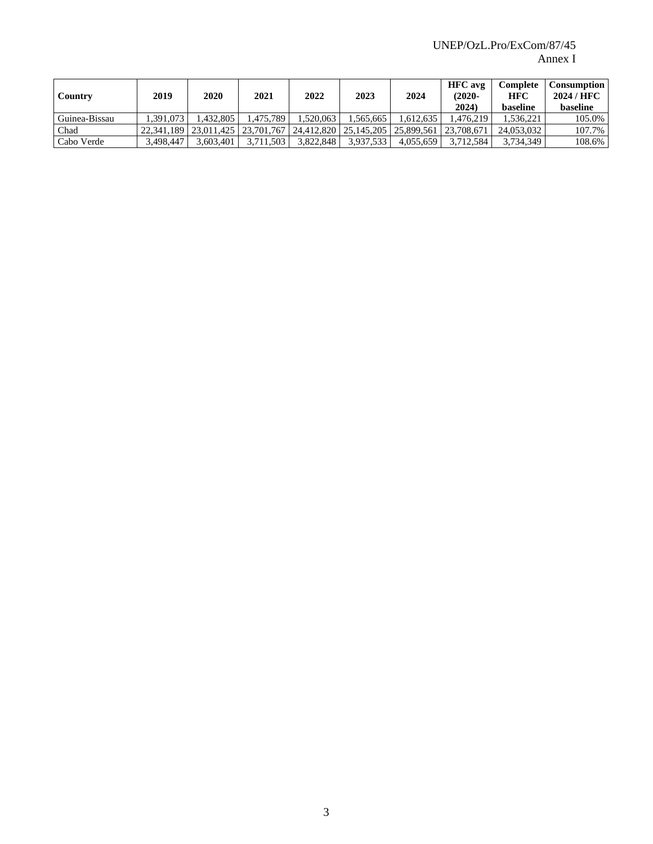| Country       | 2019       | 2020      | 2021                    | 2022       | 2023      | 2024                                 | <b>HFC</b> avg<br>$(2020 -$<br>2024 | Complete<br><b>HFC</b><br><b>baseline</b> | Consumption<br>2024 / HFC<br><b>baseline</b> |
|---------------|------------|-----------|-------------------------|------------|-----------|--------------------------------------|-------------------------------------|-------------------------------------------|----------------------------------------------|
| Guinea-Bissau | 1.391.073  | 1.432.805 | .475.789                | .520.063   | .565.665  | .612.635                             | 1.476.219                           | .536.221                                  | 105.0%                                       |
| Chad          | 22.341.189 |           | 23.011.425   23.701.767 | 24.412.820 |           | 25.145.205   25.899.561   23.708.671 |                                     | 24.053.032                                | 107.7%                                       |
| Cabo Verde    | 3.498.447  | 3.603.401 | 3.711.503               | 3.822.848  | 3,937,533 | 4.055.659                            | 3.712.584                           | 3.734.349                                 | 108.6%                                       |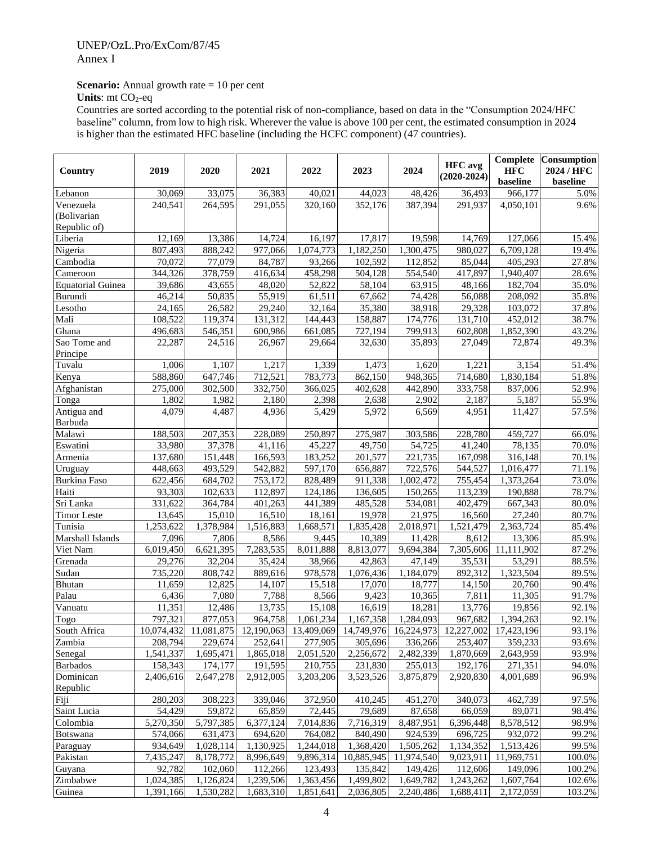# **Scenario:** Annual growth rate = 10 per cent

**Units**: mt CO<sub>2</sub>-eq

Countries are sorted according to the potential risk of non-compliance, based on data in the "Consumption 2024/HFC baseline" column, from low to high risk. Wherever the value is above 100 per cent, the estimated consumption in 2024 is higher than the estimated HFC baseline (including the HCFC component) (47 countries).

| Country                | 2019      | 2020      | 2021                                                                                    | 2022                   | 2023                    | 2024                  | <b>HFC</b> avg<br>$(2020-2024)$ | <b>HFC</b><br>baseline | <b>Complete</b> Consumption<br>2024 / HFC<br>baseline |
|------------------------|-----------|-----------|-----------------------------------------------------------------------------------------|------------------------|-------------------------|-----------------------|---------------------------------|------------------------|-------------------------------------------------------|
| Lebanon                | 30,069    | 33,075    | 36,383                                                                                  | 40,021                 | 44,023                  | 48,426                | 36,493                          | 966,177                | 5.0%                                                  |
| Venezuela              | 240,541   | 264,595   | 291,055                                                                                 | 320,160                | 352,176                 | 387,394               | 291,937                         | 4,050,101              | 9.6%                                                  |
| (Bolivarian            |           |           |                                                                                         |                        |                         |                       |                                 |                        |                                                       |
| Republic of)           |           |           |                                                                                         |                        |                         |                       |                                 |                        |                                                       |
| Liberia                | 12,169    | 13,386    | 14,724                                                                                  | 16,197                 | 17,817                  | 19,598                | 14,769                          | $\overline{1}27,066$   | 15.4%                                                 |
| Nigeria                | 807,493   | 888,242   | 977,066                                                                                 | 1,074,773              | 1,182,250               | 1,300,475             | 980,027                         | 6,709,128              | 19.4%                                                 |
| Cambodia               | 70,072    | 77,079    | 84,787                                                                                  | 93,266                 | 102,592                 | 112,852               | 85,044                          | 405,293                | 27.8%                                                 |
| Cameroon               | 344,326   | 378,759   | 416,634                                                                                 | 458,298                | 504,128                 | 554,540               | 417,897                         | 1,940,407              | 28.6%                                                 |
| Equatorial Guinea      | 39,686    | 43,655    | 48,020                                                                                  | 52,822                 | 58,104                  | 63,915                | 48,166                          | 182,704                | 35.0%                                                 |
| Burundi                | 46,214    | 50,835    | 55,919                                                                                  | 61,511                 | 67,662                  | 74,428                | 56,088                          | 208,092                | 35.8%                                                 |
| Lesotho                | 24,165    | 26,582    | 29,240                                                                                  | 32,164                 | 35,380                  | 38,918                | 29,328                          | 103,072                | 37.8%                                                 |
| Mali                   | 108,522   | 119,374   | 131,312                                                                                 | 144,443                | 158,887                 | 174,776               | 131,710                         | 452,012                | 38.7%                                                 |
| Ghana                  | 496,683   | 546,351   | 600,986                                                                                 | 661,085                | 727,194                 | 799,913               | 602,808                         | 1,852,390              | 43.2%                                                 |
| Sao Tome and           | 22,287    | 24,516    | 26,967                                                                                  | 29,664                 | 32,630                  | 35,893                | 27,049                          | 72,874                 | 49.3%                                                 |
| Principe               |           |           |                                                                                         |                        |                         |                       |                                 |                        |                                                       |
| Tuvalu                 | 1,006     | 1,107     | 1,217                                                                                   | 1,339                  | 1,473                   | 1,620                 | 1,221                           | 3,154                  | 51.4%                                                 |
| Kenya                  | 588,860   | 647,746   | 712,521                                                                                 | 783,773                | 862,150                 | 948,365               | 714,680                         | 1,830,184              | 51.8%                                                 |
| Afghanistan            | 275,000   | 302,500   | 332,750                                                                                 | 366,025                | 402,628                 | 442,890               | 333,758                         | 837,006                | 52.9%                                                 |
| Tonga                  | 1,802     | 1,982     | 2,180                                                                                   | 2,398                  | 2,638                   | 2,902                 | 2,187                           | 5,187                  | 55.9%                                                 |
| Antigua and<br>Barbuda | 4,079     | 4,487     | 4,936                                                                                   | 5,429                  | 5,972                   | 6,569                 | 4,951                           | 11,427                 | 57.5%                                                 |
| Malawi                 | 188,503   | 207,353   | 228,089                                                                                 | 250,897                | 275,987                 | 303,586               | 228,780                         | 459,727                | 66.0%                                                 |
| Eswatini               | 33,980    | 37,378    | 41,116                                                                                  | 45,227                 | 49,750                  | 54,725                | 41,240                          | 78,135                 | 70.0%                                                 |
| Armenia                | 137,680   | 151,448   | 166,593                                                                                 | 183,252                | 201,577                 | 221,735               | 167,098                         | 316,148                | 70.1%                                                 |
| Uruguay                | 448,663   | 493,529   | 542,882                                                                                 | 597,170                | 656,887                 | 722,576               | 544,527                         | 1,016,477              | 71.1%                                                 |
| <b>Burkina Faso</b>    | 622,456   | 684,702   | 753,172                                                                                 | 828,489                | 911,338                 | 1,002,472             | 755,454                         | 1,373,264              | 73.0%                                                 |
| Haiti                  | 93,303    | 102,633   | 112,897                                                                                 | 124,186                | 136,605                 | 150,265               | 113,239                         | 190,888                | 78.7%                                                 |
| Sri Lanka              | 331,622   | 364,784   | 401,263                                                                                 | 441,389                | 485,528                 | 534,081               | 402,479                         | 667,343                | 80.0%                                                 |
| <b>Timor Leste</b>     | 13,645    | 15,010    | 16,510                                                                                  | 18,161                 | 19,978                  | 21,975                | 16,560                          | 27,240                 | 80.7%                                                 |
| Tunisia                | 1,253,622 | 1,378,984 | 1,516,883                                                                               | 1,668,571              | 1,835,428               | 2,018,971             | 1,521,479                       | 2,363,724              | 85.4%                                                 |
| Marshall Islands       | 7,096     | 7,806     | 8,586                                                                                   | 9,445                  | 10,389                  | 11,428                | 8,612                           | 13,306                 | 85.9%                                                 |
| Viet Nam               | 6,019,450 | 6,621,395 | 7,283,535                                                                               | 8,011,888              | 8,813,077               | 9,694,384             | 7,305,606                       | 11,111,902             | 87.2%                                                 |
| Grenada                | 29,276    | 32,204    | 35,424                                                                                  | 38,966                 | 42,863                  | 47,149                | 35,531                          | 53,291                 | 88.5%                                                 |
| Sudan                  | 735,220   | 808,742   | 889,616                                                                                 | 978,578                | 1,076,436               | 1,184,079             | 892,312                         | 1,323,504              | 89.5%                                                 |
| <b>Bhutan</b>          | 11,659    | 12,825    | 14,107                                                                                  | 15,518                 | 17,070                  | 18,777                | 14,150                          | 20,760                 | 90.4%                                                 |
| Palau                  | 6,436     | 7,080     | 7,788                                                                                   | 8,566                  | 9,423                   | 10,365                | 7,811                           | 11,305                 | 91.7%                                                 |
| Vanuatu                | 11,351    | 12,486    | 13,735                                                                                  | 15,108                 | 16,619                  | 18,281                | 13,776                          | 19,856                 | 92.1%                                                 |
| Togo                   | 797,321   | 877,053   | 964,758                                                                                 | 1,061,234              | 1,167,358               | 1,284,093             | 967,682                         | 1,394,263              | 92.1%                                                 |
| South Africa           |           |           | 10,074,432 11,081,875 12,190,063 13,409,069 14,749,976 16,224,973 12,227,002 17,423,196 |                        |                         |                       |                                 |                        | 93.1%                                                 |
| Zambia                 | 208,794   | 229,674   | 252,641                                                                                 | 277,905                | 305,696                 | 336,266               | 253,407                         | 359,233                | 93.6%                                                 |
| Senegal                | 1,541,337 | 1,695,471 | 1,865,018                                                                               | 2,051,520              | 2,256,672               | 2,482,339             | 1,870,669                       | 2,643,959              | 93.9%                                                 |
| <b>Barbados</b>        | 158,343   | 174,177   | 191,595                                                                                 | 210,755                | 231,830                 | 255,013               | 192,176                         | 271,351                | 94.0%                                                 |
| Dominican              | 2,406,616 | 2,647,278 | 2,912,005                                                                               | 3,203,206              | 3,523,526               | 3,875,879             | 2,920,830                       | 4,001,689              | 96.9%                                                 |
| Republic               |           |           |                                                                                         |                        |                         |                       |                                 |                        |                                                       |
| Fiji                   | 280,203   | 308,223   | 339,046                                                                                 | 372,950                | 410,245                 | 451,270               | 340,073                         | 462,739                | 97.5%                                                 |
| Saint Lucia            | 54,429    | 59,872    |                                                                                         | 72,445                 | 79,689                  | 87,658                | 66,059                          | 89,071                 | 98.4%                                                 |
|                        |           |           | 65,859                                                                                  | 7,014,836              |                         |                       |                                 |                        |                                                       |
| Colombia               | 5,270,350 | 5,797,385 | 6,377,124                                                                               |                        | 7,716,319               | 8,487,951             | 6,396,448                       | 8,578,512              | 98.9%                                                 |
| Botswana               | 574,066   | 631,473   | 694,620                                                                                 | 764,082                | 840,490                 | 924,539               | 696,725                         | 932,072                | 99.2%<br>99.5%                                        |
| Paraguay               | 934,649   | 1,028,114 | 1,130,925                                                                               | 1,244,018<br>9,896,314 | 1,368,420<br>10,885,945 | 1,505,262             | 1,134,352<br>9,023,911          | 1,513,426              |                                                       |
| Pakistan               | 7,435,247 | 8,178,772 | 8,996,649                                                                               |                        |                         | 11,974,540<br>149,426 |                                 | 11,969,751<br>149,096  | 100.0%                                                |
| Guyana                 | 92,782    | 102,060   | 112,266                                                                                 | 123,493                | 135,842                 |                       | 112,606                         |                        | 100.2%                                                |
| Zimbabwe               | 1,024,385 | 1,126,824 | 1,239,506                                                                               | 1,363,456              | 1,499,802               | 1,649,782             | 1,243,262                       | 1,607,764              | 102.6%                                                |
| Guinea                 | 1,391,166 | 1,530,282 | 1,683,310                                                                               | 1,851,641              | 2,036,805               | 2,240,486             | 1,688,411                       | 2,172,059              | 103.2%                                                |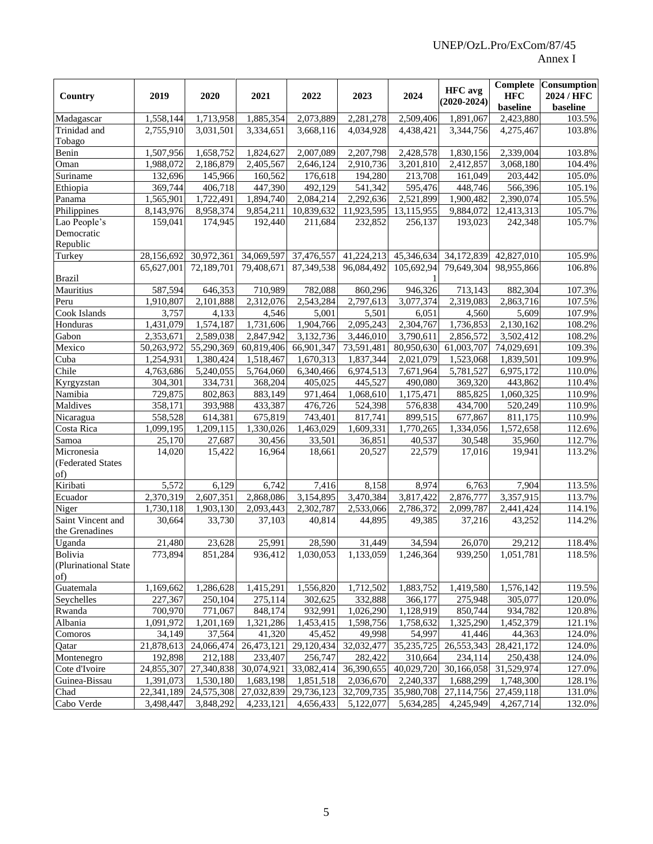| Country                             | 2019                   | 2020                  | 2021                  | 2022                  | 2023                   | 2024                   | <b>HFC</b> avg<br>$(2020-2024)$ | <b>HFC</b><br>baseline | <b>Complete</b> Consumption<br>2024 / HFC<br>baseline |
|-------------------------------------|------------------------|-----------------------|-----------------------|-----------------------|------------------------|------------------------|---------------------------------|------------------------|-------------------------------------------------------|
| Madagascar                          | 1,558,144              | 1,713,958             | 1,885,354             | 2,073,889             | 2,281,278              | 2,509,406              | 1,891,067                       | 2,423,880              | 103.5%                                                |
| Trinidad and<br>Tobago              | 2,755,910              | 3,031,501             | 3,334,651             | 3,668,116             | 4,034,928              | 4,438,421              | 3,344,756                       | 4,275,467              | 103.8%                                                |
| Benin                               | $\overline{1,}507,956$ | 1,658,752             | 1,824,627             | 2,007,089             | 2,207,798              | 2,428,578              | $\overline{1,830,156}$          | 2,339,004              | 103.8%                                                |
| Oman                                | 1,988,072              | 2,186,879             | 2,405,567             | 2,646,124             | 2,910,736              | 3,201,810              | 2,412,857                       | 3,068,180              | 104.4%                                                |
| Suriname                            | 132,696                | 145,966               | 160,562               | 176,618               | 194,280                | 213,708                | 161,049                         | 203,442                | 105.0%                                                |
| Ethiopia                            | 369,744                | 406,718               | 447,390               | 492,129               | 541,342                | 595,476                | 448,746                         | 566,396                | 105.1%                                                |
| Panama                              | 1,565,901              | 1,722,491             | 1,894,740             | 2,084,214             | 2,292,636              | 2,521,899              | 1,900,482                       | 2,390,074              | 105.5%                                                |
| Philippines                         | 8,143,976              | 8,958,374             | 9,854,211             | 10,839,632            | 11,923,595             | 13,115,955             | 9,884,072                       | 12,413,313             | 105.7%                                                |
| Lao People's                        | 159,041                | 174,945               | 192,440               | 211,684               | 232,852                | 256,137                | 193,023                         | 242,348                | 105.7%                                                |
| Democratic                          |                        |                       |                       |                       |                        |                        |                                 |                        |                                                       |
| Republic                            |                        |                       |                       |                       |                        |                        |                                 |                        |                                                       |
| Turkey                              | 28,156,692             | 30,972,361            | 34,069,597            | 37,476,557            | 41,224,213             | 45,346,634             | 34,172,839                      | 42,827,010             | 105.9%                                                |
| <b>Brazil</b>                       | 65,627,001             | 72,189,701            | 79,408,671            | 87,349,538            | 96,084,492             | 105,692,94             | 79,649,304                      | 98,955,866             | 106.8%                                                |
| Mauritius                           | 587,594                | 646,353               | 710,989               | 782,088               | 860,296                | 946,326                | 713,143                         | 882,304                | 107.3%                                                |
| Peru                                | 1,910,807              | 2,101,888             | 2,312,076             | 2,543,284             | 2,797,613              | 3,077,374              | 2,319,083                       | 2,863,716              | 107.5%                                                |
| Cook Islands                        | 3,757                  | 4,133                 | 4,546                 | 5,001                 | 5,501                  | 6,051                  | 4,560                           | 5,609                  | 107.9%                                                |
| Honduras                            | 1,431,079              | 1,574,187             | 1,731,606             | 1,904,766             | 2,095,243              | 2,304,767              | 1,736,853                       | 2,130,162              | 108.2%                                                |
| Gabon                               | 2,353,671              | 2,589,038             | 2,847,942             | 3,132,736             | 3,446,010              | 3,790,611              | 2,856,572                       | 3,502,412              | 108.2%                                                |
| Mexico                              | 50,263,972             | 55,290,369            | 60,819,406            | 66,901,347            | 73,591,481             | 80,950,630             | 61,003,707                      | 74,029,691             | 109.3%                                                |
| Cuba                                | 1,254,931              | 1,380,424             | 1,518,467             | 1,670,313             | 1,837,344              | 2,021,079              | 1,523,068                       | 1,839,501              | 109.9%                                                |
| Chile                               | 4,763,686              | 5,240,055             | 5,764,060             | 6,340,466             | 6,974,513              | 7,671,964              | 5,781,527                       | 6,975,172              | 110.0%                                                |
| Kyrgyzstan                          | 304,301                | 334,731               | 368,204               | 405,025               | 445,527                | 490,080                | 369,320                         | 443,862                | 110.4%                                                |
| Namibia                             | 729,875                | 802,863               | 883,149               | 971,464               | $\overline{1,}068,610$ | 1,175,471              | 885,825                         | 1,060,325              | 110.9%                                                |
| Maldives                            | 358,171                | 393,988               | 433,387               | 476,726               | 524,398                | 576,838                | 434,700                         | 520,249                | 110.9%                                                |
| Nicaragua                           | 558,528                | 614,381               | 675,819               | 743,401               | 817,741                | 899,515                | 677,867                         | 811,175                | 110.9%                                                |
| Costa Rica                          | 1,099,195              | 1,209,115             | 1,330,026             | 1,463,029             | 1,609,331              | 1,770,265              | 1,334,056                       | 1,572,658              | 112.6%                                                |
| Samoa                               | 25,170                 | 27,687                | 30,456                | 33,501                | 36,851                 | 40,537                 | 30,548                          | 35,960                 | 112.7%                                                |
| Micronesia                          | 14,020                 | 15,422                | 16,964                | 18,661                | 20,527                 | 22,579                 | 17,016                          | 19,941                 | 113.2%                                                |
| (Federated States<br>of)            |                        |                       |                       |                       |                        |                        |                                 |                        |                                                       |
| Kiribati                            | 5,572                  | 6,129                 | 6,742                 | 7,416                 | 8,158                  | 8,974                  | 6,763                           | 7,904                  | 113.5%                                                |
| Ecuador                             | 2,370,319              | 2,607,351             | 2,868,086             | 3,154,895             | 3,470,384              | 3,817,422              | 2,876,777                       | 3,357,915              | 113.7%                                                |
| Niger                               | 1,730,118              | 1.903.130             | 2,093,443             | 2,302,787             | 2,533,066              | 2,786,372              | 2,099,787                       | 2,441,424              | 114.1%                                                |
| Saint Vincent and<br>the Grenadines | 30,664                 | 33,730                | 37,103                | 40,814                | 44,895                 | 49,385                 | 37,216                          | 43,252                 | 114.2%                                                |
| Uganda                              | 21,480                 | 23,628                | 25,991                | 28,590                | 31,449                 | 34,594                 | 26,070                          | 29,212                 | 118.4%                                                |
| Bolivia<br>(Plurinational State     | 773,894                | 851,284               | 936,412               | 1,030,053             | 1,133,059              | 1,246,364              | 939,250                         | 1,051,781              | 118.5%                                                |
| of)                                 | 1,169,662              | 1,286,628             | 1,415,291             | 1,556,820             | 1,712,502              | 1,883,752              | 1,419,580                       | 1,576,142              | 119.5%                                                |
| Guatemala                           |                        |                       |                       |                       |                        | 366,177                |                                 |                        | 120.0%                                                |
| Seychelles                          | 227,367<br>700,970     | 250,104               | 275,114               | 302,625<br>932,991    | 332,888<br>1,026,290   |                        | 275,948<br>850,744              | 305,077<br>934,782     |                                                       |
| Rwanda<br>Albania                   |                        | 771,067               | 848,174               |                       |                        | 1,128,919<br>1,758,632 |                                 |                        | 120.8%                                                |
|                                     | 1,091,972<br>34,149    | 1,201,169             | 1,321,286<br>41,320   | 1,453,415             | 1,598,756              |                        | 1,325,290<br>41,446             | 1,452,379              | 121.1%                                                |
| Comoros                             | 21,878,613             | 37,564                |                       | 45,452                | 49,998                 | 54,997<br>35, 235, 725 | 26,553,343                      | 44,363                 | 124.0%                                                |
| Qatar<br>Montenegro                 | 192,898                | 24,066,474<br>212,188 | 26,473,121<br>233,407 | 29,120,434<br>256,747 | 32,032,477<br>282,422  | 310,664                | 234,114                         | 28,421,172<br>250,438  | 124.0%<br>124.0%                                      |
| Cote d'Ivoire                       | 24,855,307             |                       | 27,340,838 30,074,921 | 33,082,414            | 36,390,655             | 40,029,720             | 30,166,058                      | 31,529,974             | 127.0%                                                |
| Guinea-Bissau                       | 1,391,073              | 1,530,180             | 1,683,198             | 1,851,518             | 2,036,670              | 2,240,337              | 1,688,299                       | 1,748,300              | 128.1%                                                |
| Chad                                | 22,341,189             | 24,575,308            | 27,032,839            | 29,736,123            | 32,709,735             | 35,980,708             | 27,114,756                      | 27,459,118             | 131.0%                                                |
| Cabo Verde                          | 3,498,447              | 3,848,292             | 4,233,121             | 4,656,433             | 5,122,077              | 5,634,285              | 4,245,949                       | 4,267,714              | 132.0%                                                |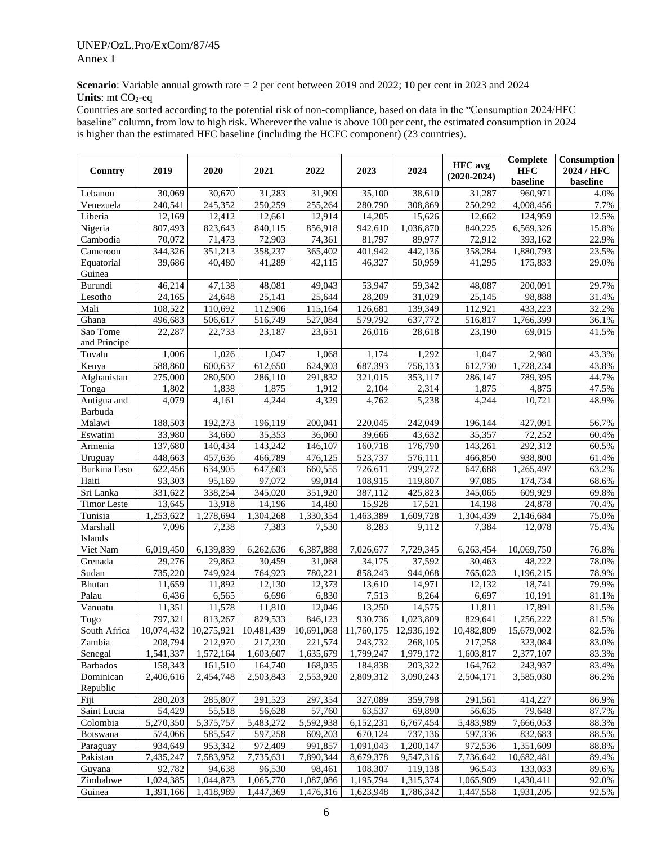**Scenario**: Variable annual growth rate = 2 per cent between 2019 and 2022; 10 per cent in 2023 and 2024 **Units**: mt CO<sub>2</sub>-eq

Countries are sorted according to the potential risk of non-compliance, based on data in the "Consumption 2024/HFC baseline" column, from low to high risk. Wherever the value is above 100 per cent, the estimated consumption in 2024 is higher than the estimated HFC baseline (including the HCFC component) (23 countries).

| Country                | 2019                             | 2020      | 2021      | 2022                                                                                   | 2023                      | 2024      | <b>HFC</b> avg<br>$(2020-2024)$ | Complete<br><b>HFC</b><br>baseline | <b>Consumption</b><br>2024 / HFC<br>baseline |
|------------------------|----------------------------------|-----------|-----------|----------------------------------------------------------------------------------------|---------------------------|-----------|---------------------------------|------------------------------------|----------------------------------------------|
| Lebanon                | 30,069                           | 30,670    | 31,283    | 31,909                                                                                 | 35,100                    | 38,610    | 31,287                          | 960,971                            | 4.0%                                         |
| Venezuela              | 240,541                          | 245,352   | 250,259   | 255,264                                                                                | 280,790                   | 308,869   | 250,292                         | 4,008,456                          | 7.7%                                         |
| Liberia                | 12,169                           | 12,412    | 12,661    | 12,914                                                                                 | 14,205                    | 15,626    | 12,662                          | 124,959                            | 12.5%                                        |
| Nigeria                | 807,493                          | 823,643   | 840,115   | 856,918                                                                                | 942,610                   | 1,036,870 | 840.225                         | 6,569,326                          | 15.8%                                        |
| Cambodia               | 70,072                           | 71,473    | 72,903    | 74,361                                                                                 | 81,797                    | 89,977    | 72,912                          | 393,162                            | 22.9%                                        |
| Cameroon               | 344,326                          | 351,213   | 358,237   | 365,402                                                                                | 401,942                   | 442,136   | 358,284                         | 1,880,793                          | 23.5%                                        |
| Equatorial<br>Guinea   | 39.686                           | 40,480    | 41,289    | 42,115                                                                                 | 46.327                    | 50,959    | 41,295                          | 175,833                            | 29.0%                                        |
| Burundi                | 46,214                           | 47,138    | 48,081    | $\overline{49,043}$                                                                    | 53,947                    | 59,342    | 48,087                          | 200,091                            | 29.7%                                        |
| Lesotho                | 24.165                           | 24,648    | 25,141    | 25,644                                                                                 | 28,209                    | 31,029    | 25,145                          | 98,888                             | 31.4%                                        |
| Mali                   | 108,522                          | 110,692   | 112,906   | 115,164                                                                                | 126,681                   | 139,349   | 112,921                         | 433,223                            | 32.2%                                        |
| Ghana                  | 496,683                          | 506,617   | 516,749   | 527,084                                                                                | 579,792                   | 637,772   | 516,817                         | 1,766,399                          | 36.1%                                        |
| Sao Tome               | 22,287                           | 22,733    | 23,187    | 23,651                                                                                 | 26,016                    | 28,618    | 23,190                          | 69,015                             | 41.5%                                        |
| and Principe           |                                  |           |           |                                                                                        |                           |           |                                 |                                    |                                              |
| Tuvalu                 | 1,006                            | 1,026     | 1,047     | 1,068                                                                                  | 1,174                     | 1,292     | 1,047                           | 2,980                              | 43.3%                                        |
| Kenya                  | 588,860                          | 600,637   | 612,650   | 624,903                                                                                | 687,393                   | 756,133   | 612,730                         | 1,728,234                          | 43.8%                                        |
| Afghanistan            | 275,000                          | 280,500   | 286,110   | 291,832                                                                                | 321,015                   | 353,117   | 286,147                         | 789,395                            | 44.7%                                        |
| Tonga                  | 1,802                            | 1,838     | 1,875     | 1,912                                                                                  | 2,104                     | 2,314     | 1,875                           | 4,875                              | 47.5%                                        |
| Antigua and<br>Barbuda | 4,079                            | 4,161     | 4,244     | 4,329                                                                                  | 4,762                     | 5,238     | 4,244                           | 10,721                             | 48.9%                                        |
| Malawi                 | 188,503                          | 192,273   | 196,119   | 200,041                                                                                | 220,045                   | 242,049   | 196,144                         | 427,091                            | 56.7%                                        |
| Eswatini               | 33,980                           | 34,660    | 35,353    | 36,060                                                                                 | 39,666                    | 43,632    | 35,357                          | 72,252                             | 60.4%                                        |
| Armenia                | 137,680                          | 140,434   | 143,242   | 146,107                                                                                | 160,718                   | 176,790   | 143,261                         | 292,312                            | 60.5%                                        |
| Uruguay                | 448,663                          | 457,636   | 466,789   | 476,125                                                                                | 523,737                   | 576,111   | 466,850                         | 938,800                            | 61.4%                                        |
| Burkina Faso           | 622,456                          | 634,905   | 647,603   | 660,555                                                                                | 726,611                   | 799,272   | 647,688                         | 1,265,497                          | 63.2%                                        |
| Haiti                  | 93,303                           | 95,169    | 97,072    | 99,014                                                                                 | 108,915                   | 119,807   | 97,085                          | 174,734                            | 68.6%                                        |
| Sri Lanka              | 331,622                          | 338,254   | 345,020   | 351,920                                                                                | 387,112                   | 425,823   | 345,065                         | 609,929                            | 69.8%                                        |
| <b>Timor</b> Leste     | 13,645                           | 13,918    | 14,196    | 14,480                                                                                 | 15,928                    | 17,521    | 14,198                          | 24,878                             | 70.4%                                        |
| Tunisia                | 1,253,622                        | 1,278,694 | 1,304,268 | 1,330,354                                                                              | 1,463,389                 | 1,609,728 | 1,304,439                       | 2,146,684                          | 75.0%                                        |
| Marshall<br>Islands    | 7,096                            | 7,238     | 7,383     | 7,530                                                                                  | 8,283                     | 9,112     | 7,384                           | 12,078                             | 75.4%                                        |
| Viet Nam               | 6,019,450                        | 6,139,839 | 6,262,636 | 6,387,888                                                                              | 7,026,677                 | 7,729,345 | $\overline{6,}263,454$          | 10,069,750                         | 76.8%                                        |
| Grenada                | 29,276                           | 29,862    | 30,459    | 31,068                                                                                 | 34,175                    | 37,592    | 30,463                          | 48,222                             | 78.0%                                        |
| Sudan                  | 735,220                          | 749,924   | 764,923   | 780,221                                                                                | 858,243                   | 944,068   | 765,023                         | 1,196,215                          | 78.9%                                        |
| Bhutan                 | 11,659                           | 11,892    | 12,130    | 12,373                                                                                 | 13,610                    | 14,971    | 12,132                          | 18,741                             | 79.9%                                        |
| Palau                  | 6,436                            | 6,565     | 6,696     | 6,830                                                                                  | 7,513                     | 8,264     | 6,697                           | 10,191                             | 81.1%                                        |
| Vanuatu                | 11,351                           | 11,578    | 11,810    | 12,046                                                                                 | 13,250                    | 14,575    | 11,811                          | 17,891                             | 81.5%                                        |
| Togo                   | 797,321                          | 813,267   | 829,533   | 846,123                                                                                | 930,736                   | 1,023,809 | 829,641                         | 1,256,222                          | 81.5%                                        |
| South Africa<br>Zambia | 10,074,432 10,275,921<br>208,794 | 212,970   | 217,230   | $\vert 10,481,439 \vert 10,691,068 \vert 11,760,175 \vert 12,936,192 \vert$<br>221,574 | 243,732                   | 268,105   | 10,482,809<br>217,258           | 15,679,002<br>323,084              | 82.5%<br>83.0%                               |
| Senegal                | 1,541,337                        | 1,572,164 | 1,603,607 | 1,635,679                                                                              | 1,799,247                 | 1,979,172 | 1,603,817                       | 2,377,107                          | 83.3%                                        |
| <b>Barbados</b>        | 158,343                          | 161,510   | 164,740   | 168,035                                                                                | 184,838                   | 203,322   | 164,762                         | 243,937                            | 83.4%                                        |
| Dominican              | 2,406,616                        | 2,454,748 | 2,503,843 | 2,553,920                                                                              | 2,809,312                 | 3,090,243 | 2,504,171                       | 3,585,030                          | 86.2%                                        |
| Republic               |                                  |           |           |                                                                                        |                           |           |                                 |                                    |                                              |
| Fiji                   | 280,203                          | 285,807   | 291,523   | 297,354                                                                                | 327,089                   | 359,798   | 291,561                         | 414,227                            | 86.9%                                        |
| Saint Lucia            | 54,429                           | 55,518    | 56,628    | 57,760                                                                                 | 63,537                    | 69,890    | 56,635                          | 79,648                             | 87.7%                                        |
| Colombia               | 5,270,350                        | 5,375,757 | 5,483,272 | 5,592,938                                                                              | $\overline{6}$ , 152, 231 | 6,767,454 | 5,483,989                       | 7,666,053                          | 88.3%                                        |
| Botswana               | 574,066                          | 585,547   | 597,258   | 609,203                                                                                | 670,124                   | 737,136   | 597,336                         | 832,683                            | 88.5%                                        |
| Paraguay               | 934,649                          | 953,342   | 972,409   | 991,857                                                                                | 1,091,043                 | 1,200,147 | 972,536                         | 1,351,609                          | 88.8%                                        |
| Pakistan               | 7,435,247                        | 7,583,952 | 7,735,631 | 7,890,344                                                                              | 8,679,378                 | 9,547,316 | 7,736,642                       | 10,682,481                         | 89.4%                                        |
| Guyana                 | 92,782                           | 94,638    | 96,530    | 98,461                                                                                 | 108,307                   | 119,138   | 96,543                          | 133,033                            | 89.6%                                        |
| Zimbabwe               | 1,024,385                        | 1,044,873 | 1,065,770 | 1,087,086                                                                              | 1,195,794                 | 1,315,374 | 1,065,909                       | 1,430,411                          | 92.0%                                        |
| Guinea                 | 1,391,166                        | 1,418,989 | 1,447,369 | 1,476,316                                                                              | 1,623,948                 | 1,786,342 | 1,447,558                       | 1,931,205                          | 92.5%                                        |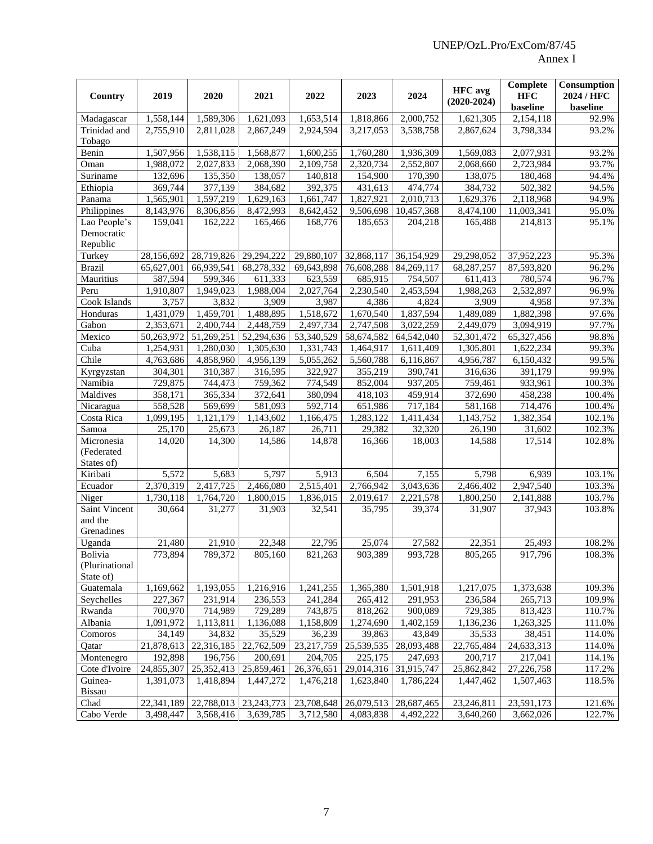| Country                     | 2019       | 2020                   | 2021         | 2022                   | 2023       | 2024       | <b>HFC</b> avg<br>$(2020-2024)$ | <b>Complete</b><br><b>HFC</b><br>baseline | Consumption<br>2024 / HFC<br>baseline |
|-----------------------------|------------|------------------------|--------------|------------------------|------------|------------|---------------------------------|-------------------------------------------|---------------------------------------|
| Madagascar                  | 1,558,144  | $\overline{1,589,306}$ | 1,621,093    | $\overline{1,653,514}$ | 1,818,866  | 2,000,752  | $\overline{1,621,305}$          | 2,154,118                                 | 92.9%                                 |
| Trinidad and<br>Tobago      | 2,755,910  | 2,811,028              | 2,867,249    | 2,924,594              | 3,217,053  | 3,538,758  | 2,867,624                       | 3,798,334                                 | 93.2%                                 |
| Benin                       | 1,507,956  | 1,538,115              | 1,568,877    | 1,600,255              | 1,760,280  | 1,936,309  | 1,569,083                       | 2,077,931                                 | 93.2%                                 |
| Oman                        | 1,988,072  | 2,027,833              | 2,068,390    | 2,109,758              | 2,320,734  | 2,552,807  | 2,068,660                       | 2,723,984                                 | 93.7%                                 |
| Suriname                    | 132,696    | 135,350                | 138,057      | 140,818                | 154,900    | 170,390    | 138,075                         | 180,468                                   | 94.4%                                 |
| Ethiopia                    | 369,744    | 377,139                | 384,682      | 392,375                | 431,613    | 474,774    | 384,732                         | 502,382                                   | 94.5%                                 |
| Panama                      | 1,565,901  | 1,597,219              | 1,629,163    | 1,661,747              | 1,827,921  | 2,010,713  | 1,629,376                       | 2,118,968                                 | 94.9%                                 |
| Philippines                 | 8,143,976  | 8,306,856              | 8,472,993    | 8,642,452              | 9,506,698  | 10,457,368 | 8,474,100                       | 11,003,341                                | 95.0%                                 |
| Lao People's                | 159,041    | 162,222                | 165.466      | 168,776                | 185,653    | 204,218    | 165,488                         | 214,813                                   | 95.1%                                 |
| Democratic<br>Republic      |            |                        |              |                        |            |            |                                 |                                           |                                       |
| Turkey                      | 28,156,692 | 28,719,826             | 29,294,222   | 29,880,107             | 32,868,117 | 36,154,929 | 29,298,052                      | 37,952,223                                | 95.3%                                 |
| <b>Brazil</b>               | 65,627,001 | 66,939,541             | 68,278,332   | 69,643,898             | 76,608,288 | 84,269,117 | 68,287,257                      | 87,593,820                                | 96.2%                                 |
| Mauritius                   | 587,594    | 599,346                | 611,333      | 623,559                | 685,915    | 754,507    | 611,413                         | 780,574                                   | 96.7%                                 |
| Peru                        | 1,910,807  | $\overline{1,}949,023$ | 1,988,004    | 2,027,764              | 2,230,540  | 2,453,594  | 1,988,263                       | 2,532,897                                 | 96.9%                                 |
| Cook Islands                | 3,757      | 3,832                  | 3,909        | 3,987                  | 4,386      | 4,824      | 3,909                           | 4,958                                     | 97.3%                                 |
| Honduras                    | 1,431,079  | 1,459,701              | 1,488,895    | 1,518,672              | 1,670,540  | 1,837,594  | 1,489,089                       | 1,882,398                                 | 97.6%                                 |
| Gabon                       | 2,353,671  | 2,400,744              | 2,448,759    | 2,497,734              | 2,747,508  | 3,022,259  | 2,449,079                       | 3,094,919                                 | 97.7%                                 |
| Mexico                      | 50,263,972 | 51,269,251             | 52,294,636   | 53,340,529             | 58,674,582 | 64,542,040 | 52,301,472                      | 65,327,456                                | 98.8%                                 |
| Cuba                        | 1,254,931  | $\overline{1,280,030}$ | 1,305,630    | 1,331,743              | 1,464,917  | 1,611,409  | 1,305,801                       | 1,622,234                                 | 99.3%                                 |
| Chile                       | 4,763,686  | 4,858,960              | 4,956,139    | 5,055,262              | 5,560,788  | 6,116,867  | 4,956,787                       | 6,150,432                                 | 99.5%                                 |
| Kyrgyzstan                  | 304,301    | 310,387                | 316,595      | 322,927                | 355,219    | 390,741    | 316,636                         | 391,179                                   | 99.9%                                 |
| Namibia                     | 729,875    | 744,473                | 759,362      | 774,549                | 852,004    | 937,205    | 759,461                         | 933,961                                   | 100.3%                                |
| Maldives                    | 358,171    | 365,334                | 372,641      | 380,094                | 418,103    | 459,914    | 372,690                         | 458,238                                   | 100.4%                                |
| Nicaragua                   | 558,528    | 569,699                | 581,093      | 592,714                | 651,986    | 717,184    | 581,168                         | 714,476                                   | 100.4%                                |
| Costa Rica                  | 1,099,195  | 1,121,179              | 1,143,602    | 1,166,475              | 1,283,122  | 1,411,434  | 1,143,752                       | 1,382,354                                 | 102.1%                                |
| Samoa                       | 25,170     | 25,673                 | 26,187       | 26,711                 | 29,382     | 32,320     | 26,190                          | 31,602                                    | 102.3%                                |
| Micronesia                  | 14,020     | 14,300                 | 14,586       | 14,878                 | 16,366     | 18,003     | 14,588                          | 17,514                                    | 102.8%                                |
| (Federated                  |            |                        |              |                        |            |            |                                 |                                           |                                       |
| States of)                  |            |                        |              |                        |            |            |                                 |                                           |                                       |
| Kiribati                    | 5,572      | 5,683                  | 5,797        | 5,913                  | 6,504      | 7,155      | 5,798                           | 6,939                                     | 103.1%                                |
| Ecuador                     | 2,370,319  | 2,417,725              | 2,466,080    | 2,515,401              | 2,766,942  | 3,043,636  | 2,466,402                       | 2,947,540                                 | 103.3%                                |
| Niger                       | 1,730,118  | 1,764,720              | 1,800,015    | 1,836,015              | 2,019,617  | 2,221,578  | 1,800,250                       | 2,141,888                                 | 103.7%                                |
| Saint Vincent<br>and the    | 30,664     | 31,277                 | 31,903       | 32,541                 | 35,795     | 39,374     | 31,907                          | 37,943                                    | 103.8%                                |
| Grenadines                  |            |                        |              |                        |            |            |                                 |                                           |                                       |
| Uganda                      | 21,480     | 21,910                 | 22,348       | 22,795                 | 25,074     | 27,582     | 22,351                          | 25,493                                    | 108.2%                                |
| Bolivia                     | 773,894    | 789,372                | 805,160      | 821,263                | 903,389    | 993,728    | 805,265                         | 917,796                                   | 108.3%                                |
| (Plurinational<br>State of) |            |                        |              |                        |            |            |                                 |                                           |                                       |
| Guatemala                   | 1,169,662  | 1,193,055              | 1,216,916    | 1,241,255              | 1,365,380  | 1,501,918  | 1,217,075                       | 1,373,638                                 | 109.3%                                |
| Seychelles                  | 227,367    | 231,914                | 236,553      | 241,284                | 265,412    | 291,953    | 236,584                         | 265,713                                   | 109.9%                                |
| Rwanda                      | 700,970    | 714,989                | 729,289      | 743,875                | 818,262    | 900,089    | 729,385                         | 813,423                                   | 110.7%                                |
| Albania                     | 1,091,972  | 1,113,811              | 1,136,088    | 1,158,809              | 1,274,690  | 1,402,159  | 1,136,236                       | 1,263,325                                 | 111.0%                                |
| Comoros                     | 34,149     | 34,832                 | 35,529       | 36,239                 | 39,863     | 43,849     | 35,533                          | 38,451                                    | 114.0%                                |
| Qatar                       | 21,878,613 | 22,316,185             | 22,762,509   | 23,217,759             | 25,539,535 | 28,093,488 | 22,765,484                      | 24,633,313                                | 114.0%                                |
| Montenegro                  | 192,898    | 196,756                | 200,691      | 204,705                | 225,175    | 247,693    | 200,717                         | 217,041                                   | 114.1%                                |
| Cote d'Ivoire               | 24,855,307 | 25,352,413             | 25,859,461   | 26,376,651             | 29,014,316 | 31,915,747 | 25,862,842                      | 27,226,758                                | 117.2%                                |
| Guinea-<br><b>Bissau</b>    | 1,391,073  | 1,418,894              | 1,447,272    | 1,476,218              | 1,623,840  | 1,786,224  | 1,447,462                       | 1,507,463                                 | 118.5%                                |
| Chad                        | 22,341,189 | 22,788,013             | 23, 243, 773 | 23,708,648             | 26,079,513 | 28,687,465 | 23,246,811                      | 23,591,173                                | 121.6%                                |
| Cabo Verde                  | 3,498,447  | 3,568,416              | 3,639,785    | 3,712,580              | 4,083,838  | 4,492,222  | 3,640,260                       | 3,662,026                                 | 122.7%                                |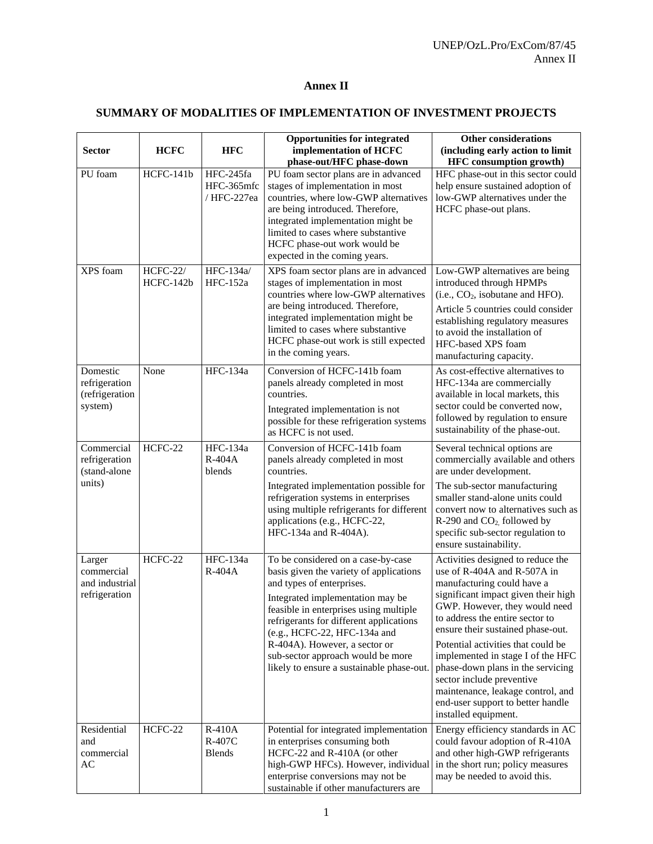# **Annex II**

# **SUMMARY OF MODALITIES OF IMPLEMENTATION OF INVESTMENT PROJECTS**

| <b>Sector</b>                                           | <b>HCFC</b>                  | <b>HFC</b>                             | <b>Opportunities for integrated</b><br>implementation of HCFC<br>phase-out/HFC phase-down                                                                                                                                                                                                                                                                                              | <b>Other considerations</b><br>(including early action to limit<br><b>HFC</b> consumption growth)                                                                                                                                                                                                                                                                                                                                                                                             |
|---------------------------------------------------------|------------------------------|----------------------------------------|----------------------------------------------------------------------------------------------------------------------------------------------------------------------------------------------------------------------------------------------------------------------------------------------------------------------------------------------------------------------------------------|-----------------------------------------------------------------------------------------------------------------------------------------------------------------------------------------------------------------------------------------------------------------------------------------------------------------------------------------------------------------------------------------------------------------------------------------------------------------------------------------------|
| PU foam                                                 | HCFC-141b                    | HFC-245fa<br>HFC-365mfc<br>/ HFC-227ea | PU foam sector plans are in advanced<br>stages of implementation in most<br>countries, where low-GWP alternatives<br>are being introduced. Therefore,<br>integrated implementation might be<br>limited to cases where substantive<br>HCFC phase-out work would be<br>expected in the coming years.                                                                                     | HFC phase-out in this sector could<br>help ensure sustained adoption of<br>low-GWP alternatives under the<br>HCFC phase-out plans.                                                                                                                                                                                                                                                                                                                                                            |
| XPS foam                                                | <b>HCFC-22/</b><br>HCFC-142b | HFC-134a/<br>HFC-152a                  | XPS foam sector plans are in advanced<br>stages of implementation in most<br>countries where low-GWP alternatives<br>are being introduced. Therefore,<br>integrated implementation might be<br>limited to cases where substantive<br>HCFC phase-out work is still expected<br>in the coming years.                                                                                     | Low-GWP alternatives are being<br>introduced through HPMPs<br>$(i.e., CO2, isobutane and HFO).$<br>Article 5 countries could consider<br>establishing regulatory measures<br>to avoid the installation of<br>HFC-based XPS foam<br>manufacturing capacity.                                                                                                                                                                                                                                    |
| Domestic<br>refrigeration<br>(refrigeration<br>system)  | None                         | <b>HFC-134a</b>                        | Conversion of HCFC-141b foam<br>panels already completed in most<br>countries.<br>Integrated implementation is not<br>possible for these refrigeration systems<br>as HCFC is not used.                                                                                                                                                                                                 | As cost-effective alternatives to<br>HFC-134a are commercially<br>available in local markets, this<br>sector could be converted now,<br>followed by regulation to ensure<br>sustainability of the phase-out.                                                                                                                                                                                                                                                                                  |
| Commercial<br>refrigeration<br>(stand-alone<br>units)   | HCFC-22                      | HFC-134a<br>$R-404A$<br>blends         | Conversion of HCFC-141b foam<br>panels already completed in most<br>countries.<br>Integrated implementation possible for<br>refrigeration systems in enterprises<br>using multiple refrigerants for different<br>applications (e.g., HCFC-22,<br>HFC-134a and R-404A).                                                                                                                 | Several technical options are<br>commercially available and others<br>are under development.<br>The sub-sector manufacturing<br>smaller stand-alone units could<br>convert now to alternatives such as<br>$R-290$ and $CO2$ followed by<br>specific sub-sector regulation to<br>ensure sustainability.                                                                                                                                                                                        |
| Larger<br>commercial<br>and industrial<br>refrigeration | HCFC-22                      | HFC-134a<br>$R-404A$                   | To be considered on a case-by-case<br>basis given the variety of applications<br>and types of enterprises.<br>Integrated implementation may be<br>feasible in enterprises using multiple<br>refrigerants for different applications<br>(e.g., HCFC-22, HFC-134a and<br>R-404A). However, a sector or<br>sub-sector approach would be more<br>likely to ensure a sustainable phase-out. | Activities designed to reduce the<br>use of R-404A and R-507A in<br>manufacturing could have a<br>significant impact given their high<br>GWP. However, they would need<br>to address the entire sector to<br>ensure their sustained phase-out.<br>Potential activities that could be<br>implemented in stage I of the HFC<br>phase-down plans in the servicing<br>sector include preventive<br>maintenance, leakage control, and<br>end-user support to better handle<br>installed equipment. |
| Residential<br>and<br>commercial<br>AC                  | HCFC-22                      | R-410A<br>R-407C<br><b>Blends</b>      | Potential for integrated implementation<br>in enterprises consuming both<br>HCFC-22 and R-410A (or other<br>high-GWP HFCs). However, individual<br>enterprise conversions may not be<br>sustainable if other manufacturers are                                                                                                                                                         | Energy efficiency standards in AC<br>could favour adoption of R-410A<br>and other high-GWP refrigerants<br>in the short run; policy measures<br>may be needed to avoid this.                                                                                                                                                                                                                                                                                                                  |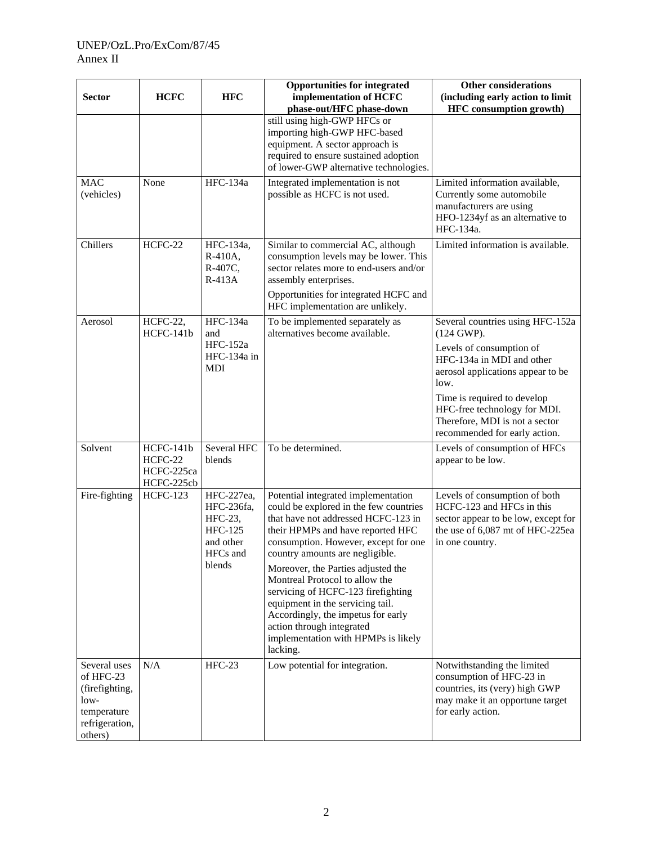| <b>Sector</b>                                                                                     | <b>HCFC</b>                                      | <b>HFC</b>                                                                               | <b>Opportunities for integrated</b><br>implementation of HCFC<br>phase-out/HFC phase-down                                                                                                                                                                                                                                                                                                                                                                                                                    | <b>Other considerations</b><br>(including early action to limit<br><b>HFC</b> consumption growth)                                                                                                                                                                                                |
|---------------------------------------------------------------------------------------------------|--------------------------------------------------|------------------------------------------------------------------------------------------|--------------------------------------------------------------------------------------------------------------------------------------------------------------------------------------------------------------------------------------------------------------------------------------------------------------------------------------------------------------------------------------------------------------------------------------------------------------------------------------------------------------|--------------------------------------------------------------------------------------------------------------------------------------------------------------------------------------------------------------------------------------------------------------------------------------------------|
|                                                                                                   |                                                  |                                                                                          | still using high-GWP HFCs or<br>importing high-GWP HFC-based<br>equipment. A sector approach is<br>required to ensure sustained adoption<br>of lower-GWP alternative technologies.                                                                                                                                                                                                                                                                                                                           |                                                                                                                                                                                                                                                                                                  |
| <b>MAC</b><br>(vehicles)                                                                          | None                                             | HFC-134a                                                                                 | Integrated implementation is not<br>possible as HCFC is not used.                                                                                                                                                                                                                                                                                                                                                                                                                                            | Limited information available,<br>Currently some automobile<br>manufacturers are using<br>HFO-1234yf as an alternative to<br>HFC-134a.                                                                                                                                                           |
| Chillers                                                                                          | HCFC-22                                          | HFC-134a,<br>R-410A,<br>R-407C,<br>$R-413A$                                              | Similar to commercial AC, although<br>consumption levels may be lower. This<br>sector relates more to end-users and/or<br>assembly enterprises.<br>Opportunities for integrated HCFC and<br>HFC implementation are unlikely.                                                                                                                                                                                                                                                                                 | Limited information is available.                                                                                                                                                                                                                                                                |
| Aerosol                                                                                           | HCFC-22,<br>HCFC-141b                            | <b>HFC-134a</b><br>and<br><b>HFC-152a</b><br>HFC-134a in<br><b>MDI</b>                   | To be implemented separately as<br>alternatives become available.                                                                                                                                                                                                                                                                                                                                                                                                                                            | Several countries using HFC-152a<br>$(124 \text{ GWP}).$<br>Levels of consumption of<br>HFC-134a in MDI and other<br>aerosol applications appear to be<br>low.<br>Time is required to develop<br>HFC-free technology for MDI.<br>Therefore, MDI is not a sector<br>recommended for early action. |
| Solvent                                                                                           | HCFC-141b<br>HCFC-22<br>HCFC-225ca<br>HCFC-225cb | Several HFC<br>blends                                                                    | To be determined.                                                                                                                                                                                                                                                                                                                                                                                                                                                                                            | Levels of consumption of HFCs<br>appear to be low.                                                                                                                                                                                                                                               |
| Fire-fighting                                                                                     | <b>HCFC-123</b>                                  | HFC-227ea,<br>HFC-236fa,<br>HFC-23,<br><b>HFC-125</b><br>and other<br>HFCs and<br>blends | Potential integrated implementation<br>could be explored in the few countries<br>that have not addressed HCFC-123 in<br>their HPMPs and have reported HFC<br>consumption. However, except for one<br>country amounts are negligible.<br>Moreover, the Parties adjusted the<br>Montreal Protocol to allow the<br>servicing of HCFC-123 firefighting<br>equipment in the servicing tail.<br>Accordingly, the impetus for early<br>action through integrated<br>implementation with HPMPs is likely<br>lacking. | Levels of consumption of both<br>HCFC-123 and HFCs in this<br>sector appear to be low, except for<br>the use of 6,087 mt of HFC-225ea<br>in one country.                                                                                                                                         |
| Several uses<br>of HFC-23<br>(firefighting,<br>$low-$<br>temperature<br>refrigeration,<br>others) | N/A                                              | $HFC-23$                                                                                 | Low potential for integration.                                                                                                                                                                                                                                                                                                                                                                                                                                                                               | Notwithstanding the limited<br>consumption of HFC-23 in<br>countries, its (very) high GWP<br>may make it an opportune target<br>for early action.                                                                                                                                                |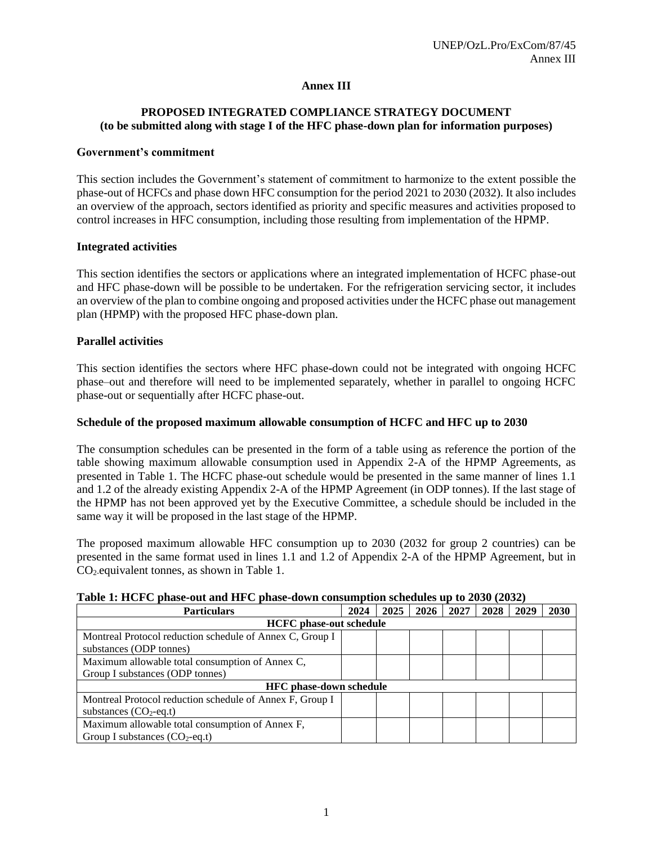# **Annex III**

# **PROPOSED INTEGRATED COMPLIANCE STRATEGY DOCUMENT (to be submitted along with stage I of the HFC phase-down plan for information purposes)**

#### **Government's commitment**

This section includes the Government's statement of commitment to harmonize to the extent possible the phase-out of HCFCs and phase down HFC consumption for the period 2021 to 2030 (2032). It also includes an overview of the approach, sectors identified as priority and specific measures and activities proposed to control increases in HFC consumption, including those resulting from implementation of the HPMP.

## **Integrated activities**

This section identifies the sectors or applications where an integrated implementation of HCFC phase-out and HFC phase-down will be possible to be undertaken. For the refrigeration servicing sector, it includes an overview of the plan to combine ongoing and proposed activities under the HCFC phase out management plan (HPMP) with the proposed HFC phase-down plan.

#### **Parallel activities**

This section identifies the sectors where HFC phase-down could not be integrated with ongoing HCFC phase–out and therefore will need to be implemented separately, whether in parallel to ongoing HCFC phase-out or sequentially after HCFC phase-out.

#### **Schedule of the proposed maximum allowable consumption of HCFC and HFC up to 2030**

The consumption schedules can be presented in the form of a table using as reference the portion of the table showing maximum allowable consumption used in Appendix 2-A of the HPMP Agreements, as presented in Table 1. The HCFC phase-out schedule would be presented in the same manner of lines 1.1 and 1.2 of the already existing Appendix 2-A of the HPMP Agreement (in ODP tonnes). If the last stage of the HPMP has not been approved yet by the Executive Committee, a schedule should be included in the same way it will be proposed in the last stage of the HPMP.

The proposed maximum allowable HFC consumption up to 2030 (2032 for group 2 countries) can be presented in the same format used in lines 1.1 and 1.2 of Appendix 2-A of the HPMP Agreement, but in CO<sub>2</sub>-equivalent tonnes, as shown in Table 1.

| <b>Particulars</b>                                       |  | 2025 | 2026 | 2027 | 2028 | 2029 | 2030 |  |
|----------------------------------------------------------|--|------|------|------|------|------|------|--|
| <b>HCFC</b> phase-out schedule                           |  |      |      |      |      |      |      |  |
| Montreal Protocol reduction schedule of Annex C, Group I |  |      |      |      |      |      |      |  |
| substances (ODP tonnes)                                  |  |      |      |      |      |      |      |  |
| Maximum allowable total consumption of Annex C,          |  |      |      |      |      |      |      |  |
| Group I substances (ODP tonnes)                          |  |      |      |      |      |      |      |  |
| <b>HFC</b> phase-down schedule                           |  |      |      |      |      |      |      |  |
| Montreal Protocol reduction schedule of Annex F, Group I |  |      |      |      |      |      |      |  |
| substances $(CO_2$ -eq.t)                                |  |      |      |      |      |      |      |  |
| Maximum allowable total consumption of Annex F,          |  |      |      |      |      |      |      |  |
| Group I substances $(CO_2$ -eq.t)                        |  |      |      |      |      |      |      |  |

# **Table 1: HCFC phase-out and HFC phase-down consumption schedules up to 2030 (2032)**